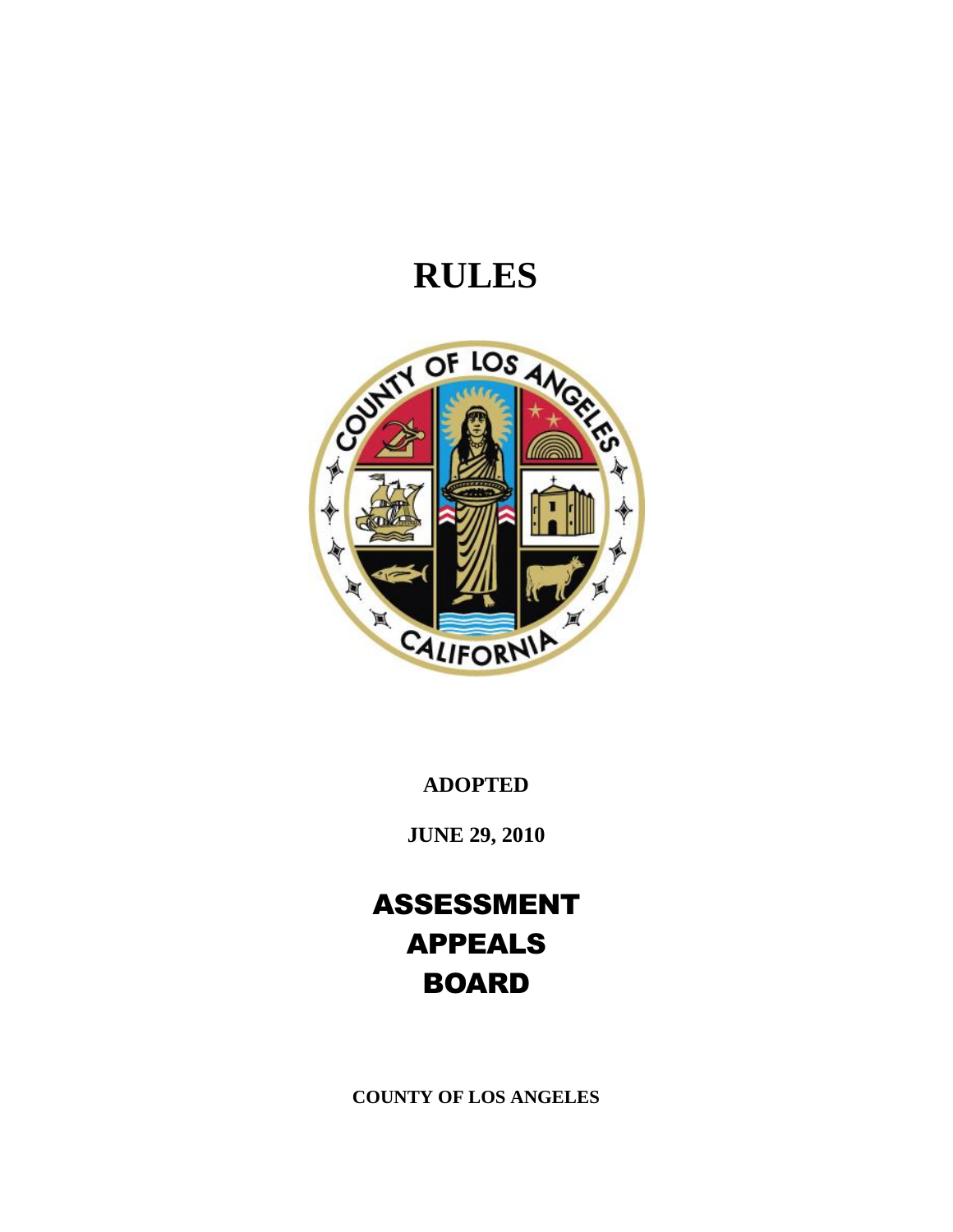# **RULES**



**ADOPTED**

**JUNE 29, 2010** 

ASSESSMENT APPEALS **BOARD** 

**COUNTY OF LOS ANGELES**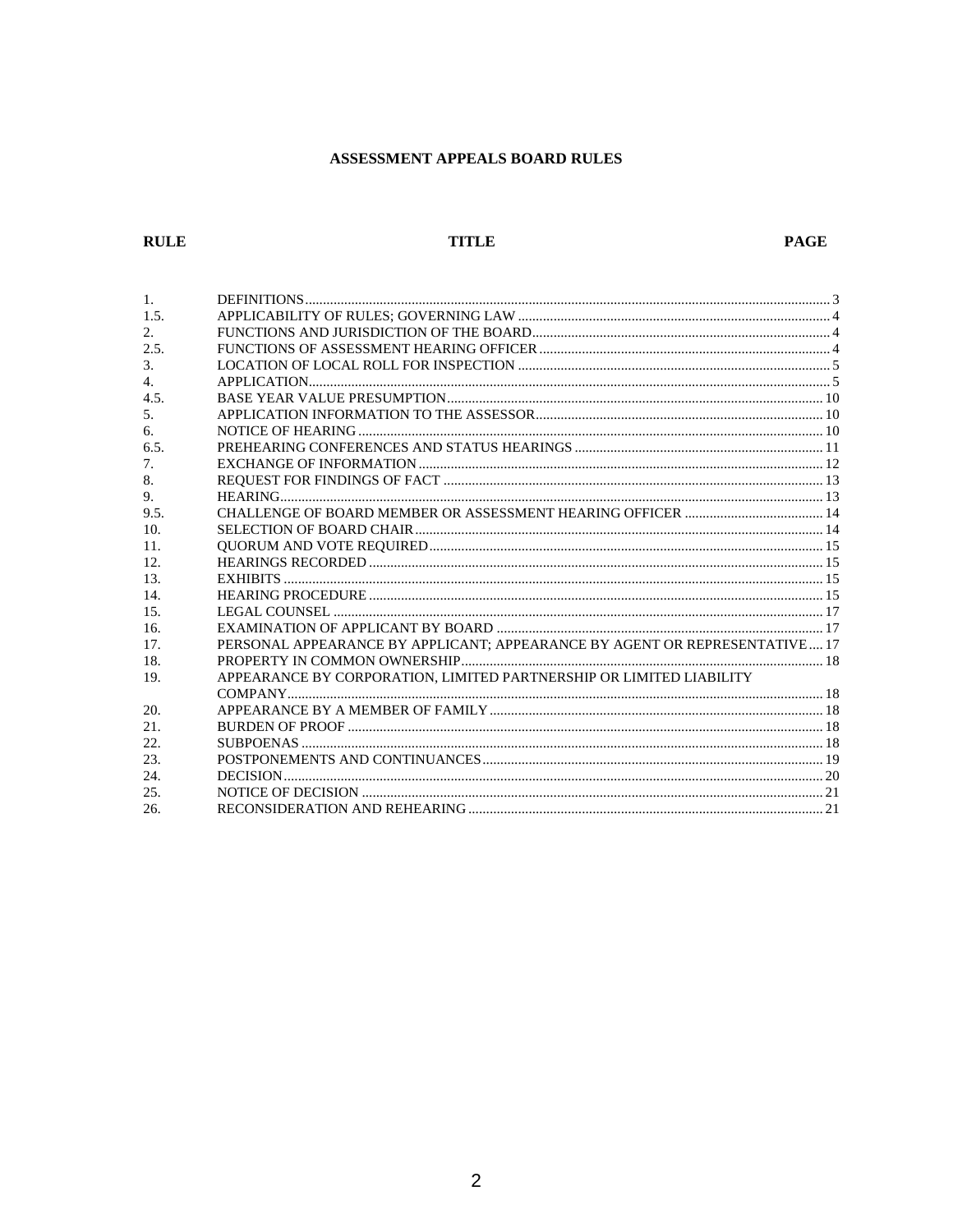# ASSESSMENT APPEALS BOARD RULES

# **RULE**

# **TITLE**

# **PAGE**

| $\mathbf{1}$ .  |                                                                            |  |
|-----------------|----------------------------------------------------------------------------|--|
| 1.5.            |                                                                            |  |
| 2.              |                                                                            |  |
| 2.5.            |                                                                            |  |
| 3.              |                                                                            |  |
| 4.              |                                                                            |  |
| 4.5.            |                                                                            |  |
| 5.              |                                                                            |  |
| 6.              |                                                                            |  |
| 6.5.            |                                                                            |  |
| 7.              |                                                                            |  |
| 8.              |                                                                            |  |
| 9.              |                                                                            |  |
| 9.5.            |                                                                            |  |
| 10.             |                                                                            |  |
| 11.             |                                                                            |  |
| 12.             |                                                                            |  |
| 13.             |                                                                            |  |
| 14.             |                                                                            |  |
| 15 <sub>1</sub> |                                                                            |  |
| 16.             |                                                                            |  |
| 17.             | PERSONAL APPEARANCE BY APPLICANT; APPEARANCE BY AGENT OR REPRESENTATIVE 17 |  |
| 18.             |                                                                            |  |
| 19.             | APPEARANCE BY CORPORATION, LIMITED PARTNERSHIP OR LIMITED LIABILITY        |  |
|                 |                                                                            |  |
| 20.             |                                                                            |  |
| 21.             |                                                                            |  |
| 22.             |                                                                            |  |
| 23.             |                                                                            |  |
| 24.             |                                                                            |  |
| 25.             |                                                                            |  |
| 26.             |                                                                            |  |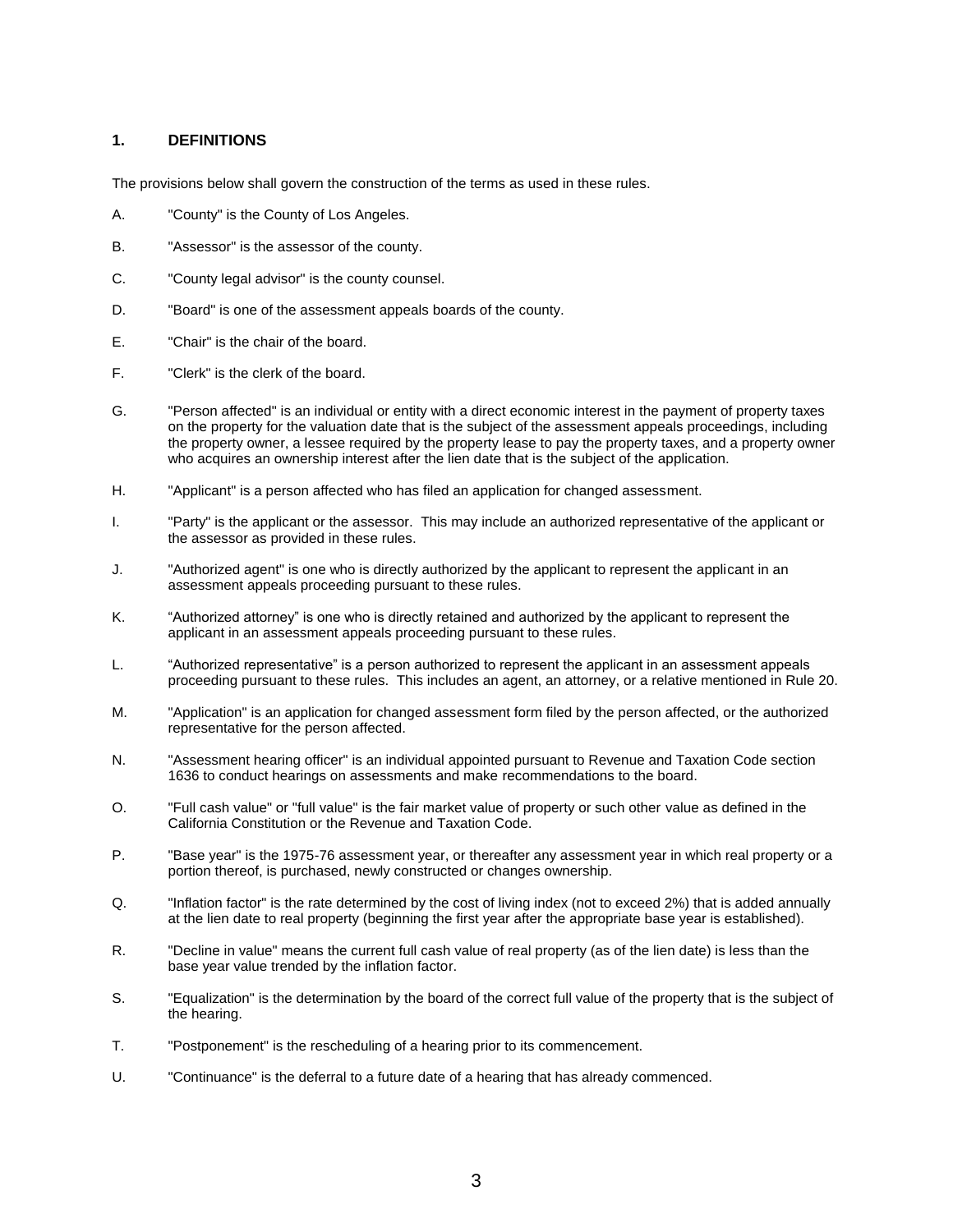## <span id="page-2-0"></span>**1. DEFINITIONS**

The provisions below shall govern the construction of the terms as used in these rules.

- A. "County" is the County of Los Angeles.
- B. "Assessor" is the assessor of the county.
- C. "County legal advisor" is the county counsel.
- D. "Board" is one of the assessment appeals boards of the county.
- E. "Chair" is the chair of the board.
- F. "Clerk" is the clerk of the board.
- G. "Person affected" is an individual or entity with a direct economic interest in the payment of property taxes on the property for the valuation date that is the subject of the assessment appeals proceedings, including the property owner, a lessee required by the property lease to pay the property taxes, and a property owner who acquires an ownership interest after the lien date that is the subject of the application.
- H. "Applicant" is a person affected who has filed an application for changed assessment.
- I. "Party" is the applicant or the assessor. This may include an authorized representative of the applicant or the assessor as provided in these rules.
- J. "Authorized agent" is one who is directly authorized by the applicant to represent the applicant in an assessment appeals proceeding pursuant to these rules.
- K. "Authorized attorney" is one who is directly retained and authorized by the applicant to represent the applicant in an assessment appeals proceeding pursuant to these rules.
- L. "Authorized representative" is a person authorized to represent the applicant in an assessment appeals proceeding pursuant to these rules. This includes an agent, an attorney, or a relative mentioned in Rule 20.
- M. "Application" is an application for changed assessment form filed by the person affected, or the authorized representative for the person affected.
- N. "Assessment hearing officer" is an individual appointed pursuant to Revenue and Taxation Code section 1636 to conduct hearings on assessments and make recommendations to the board.
- O. "Full cash value" or "full value" is the fair market value of property or such other value as defined in the California Constitution or the Revenue and Taxation Code.
- P. "Base year" is the 1975-76 assessment year, or thereafter any assessment year in which real property or a portion thereof, is purchased, newly constructed or changes ownership.
- Q. "Inflation factor" is the rate determined by the cost of living index (not to exceed 2%) that is added annually at the lien date to real property (beginning the first year after the appropriate base year is established).
- R. "Decline in value" means the current full cash value of real property (as of the lien date) is less than the base year value trended by the inflation factor.
- S. "Equalization" is the determination by the board of the correct full value of the property that is the subject of the hearing.
- T. "Postponement" is the rescheduling of a hearing prior to its commencement.
- U. "Continuance" is the deferral to a future date of a hearing that has already commenced.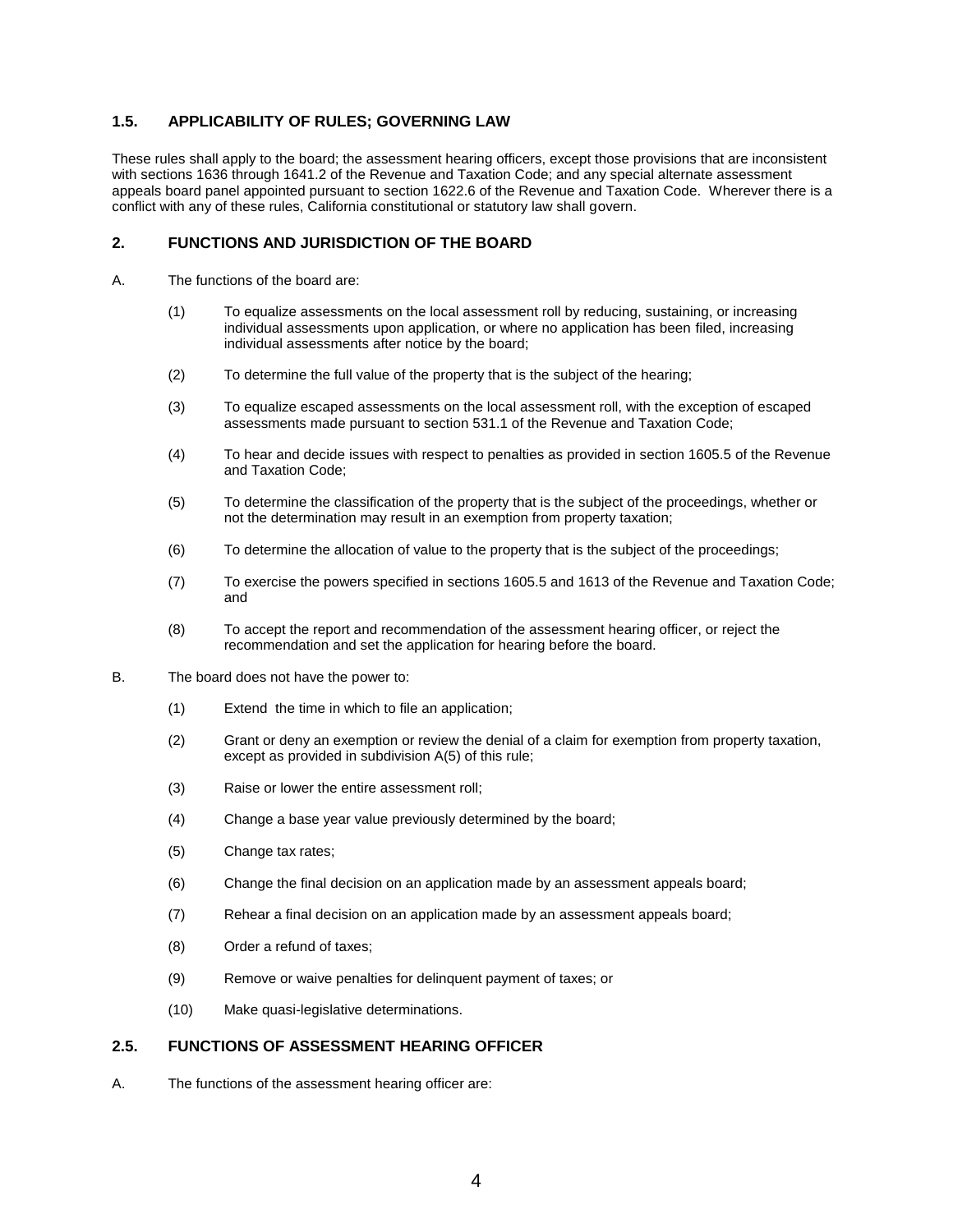# <span id="page-3-0"></span>**1.5. APPLICABILITY OF RULES; GOVERNING LAW**

These rules shall apply to the board; the assessment hearing officers, except those provisions that are inconsistent with sections 1636 through 1641.2 of the Revenue and Taxation Code; and any special alternate assessment appeals board panel appointed pursuant to section 1622.6 of the Revenue and Taxation Code. Wherever there is a conflict with any of these rules, California constitutional or statutory law shall govern.

## <span id="page-3-1"></span>**2. FUNCTIONS AND JURISDICTION OF THE BOARD**

- A. The functions of the board are:
	- (1) To equalize assessments on the local assessment roll by reducing, sustaining, or increasing individual assessments upon application, or where no application has been filed, increasing individual assessments after notice by the board;
	- (2) To determine the full value of the property that is the subject of the hearing;
	- (3) To equalize escaped assessments on the local assessment roll, with the exception of escaped assessments made pursuant to section 531.1 of the Revenue and Taxation Code;
	- (4) To hear and decide issues with respect to penalties as provided in section 1605.5 of the Revenue and Taxation Code;
	- (5) To determine the classification of the property that is the subject of the proceedings, whether or not the determination may result in an exemption from property taxation;
	- (6) To determine the allocation of value to the property that is the subject of the proceedings;
	- (7) To exercise the powers specified in sections 1605.5 and 1613 of the Revenue and Taxation Code; and
	- (8) To accept the report and recommendation of the assessment hearing officer, or reject the recommendation and set the application for hearing before the board.
- B. The board does not have the power to:
	- (1) Extend the time in which to file an application;
	- (2) Grant or deny an exemption or review the denial of a claim for exemption from property taxation, except as provided in subdivision A(5) of this rule;
	- (3) Raise or lower the entire assessment roll;
	- (4) Change a base year value previously determined by the board;
	- (5) Change tax rates;
	- (6) Change the final decision on an application made by an assessment appeals board;
	- (7) Rehear a final decision on an application made by an assessment appeals board;
	- (8) Order a refund of taxes;
	- (9) Remove or waive penalties for delinquent payment of taxes; or
	- (10) Make quasi-legislative determinations.

# <span id="page-3-2"></span>**2.5. FUNCTIONS OF ASSESSMENT HEARING OFFICER**

A. The functions of the assessment hearing officer are: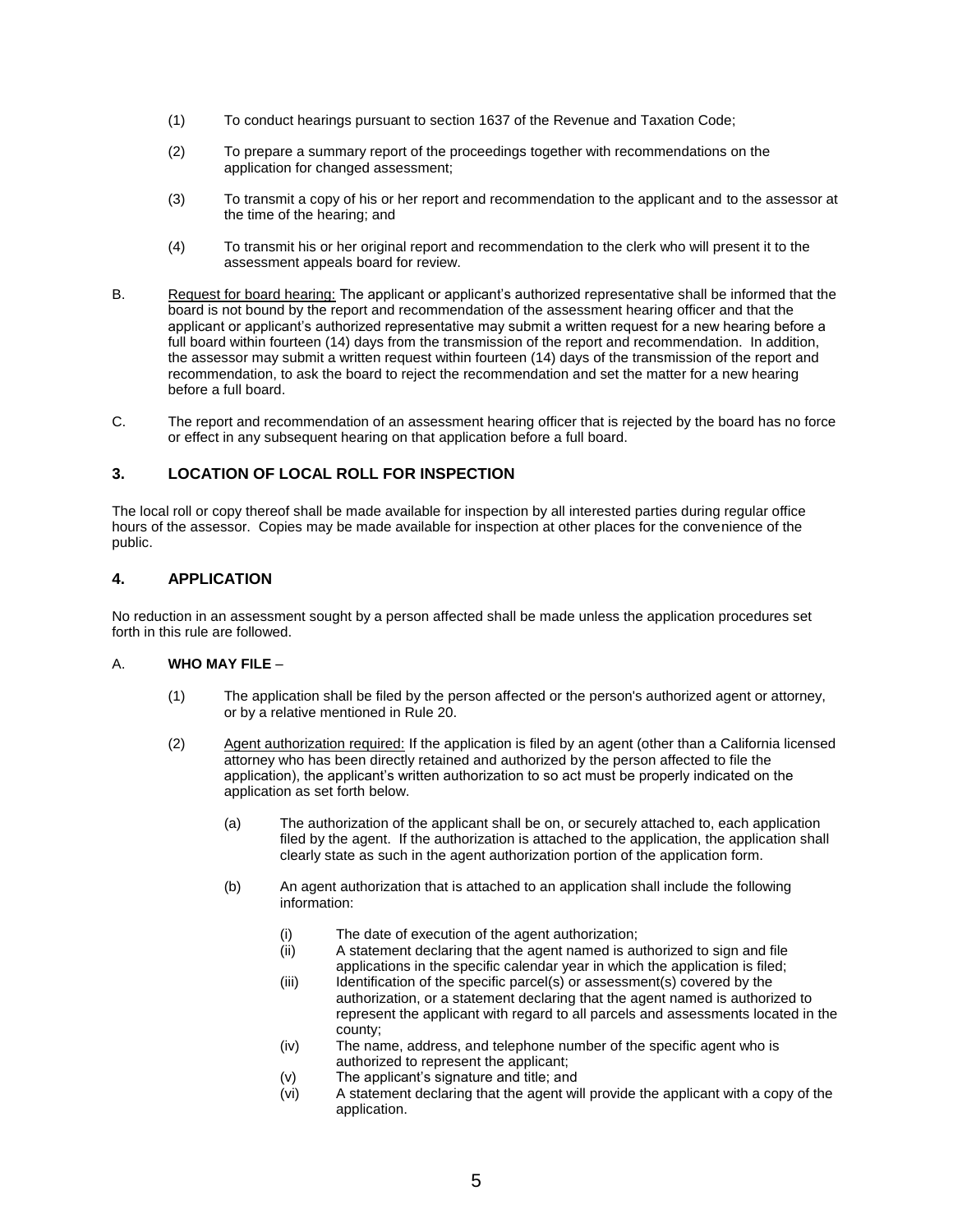- (1) To conduct hearings pursuant to section 1637 of the Revenue and Taxation Code;
- (2) To prepare a summary report of the proceedings together with recommendations on the application for changed assessment;
- (3) To transmit a copy of his or her report and recommendation to the applicant and to the assessor at the time of the hearing; and
- (4) To transmit his or her original report and recommendation to the clerk who will present it to the assessment appeals board for review.
- B. Request for board hearing: The applicant or applicant's authorized representative shall be informed that the board is not bound by the report and recommendation of the assessment hearing officer and that the applicant or applicant's authorized representative may submit a written request for a new hearing before a full board within fourteen (14) days from the transmission of the report and recommendation. In addition, the assessor may submit a written request within fourteen (14) days of the transmission of the report and recommendation, to ask the board to reject the recommendation and set the matter for a new hearing before a full board.
- C. The report and recommendation of an assessment hearing officer that is rejected by the board has no force or effect in any subsequent hearing on that application before a full board.

# <span id="page-4-0"></span>**3. LOCATION OF LOCAL ROLL FOR INSPECTION**

The local roll or copy thereof shall be made available for inspection by all interested parties during regular office hours of the assessor. Copies may be made available for inspection at other places for the convenience of the public.

## <span id="page-4-1"></span>**4. APPLICATION**

No reduction in an assessment sought by a person affected shall be made unless the application procedures set forth in this rule are followed.

#### A. **WHO MAY FILE** –

- (1) The application shall be filed by the person affected or the person's authorized agent or attorney, or by a relative mentioned in Rule 20.
- (2) Agent authorization required: If the application is filed by an agent (other than a California licensed attorney who has been directly retained and authorized by the person affected to file the application), the applicant's written authorization to so act must be properly indicated on the application as set forth below.
	- (a) The authorization of the applicant shall be on, or securely attached to, each application filed by the agent. If the authorization is attached to the application, the application shall clearly state as such in the agent authorization portion of the application form.
	- (b) An agent authorization that is attached to an application shall include the following information:
		- (i) The date of execution of the agent authorization;
		- (ii) A statement declaring that the agent named is authorized to sign and file applications in the specific calendar year in which the application is filed;
		- (iii) Identification of the specific parcel(s) or assessment(s) covered by the authorization, or a statement declaring that the agent named is authorized to represent the applicant with regard to all parcels and assessments located in the county;
		- (iv) The name, address, and telephone number of the specific agent who is authorized to represent the applicant;
		- (v) The applicant's signature and title; and
		- (vi) A statement declaring that the agent will provide the applicant with a copy of the application.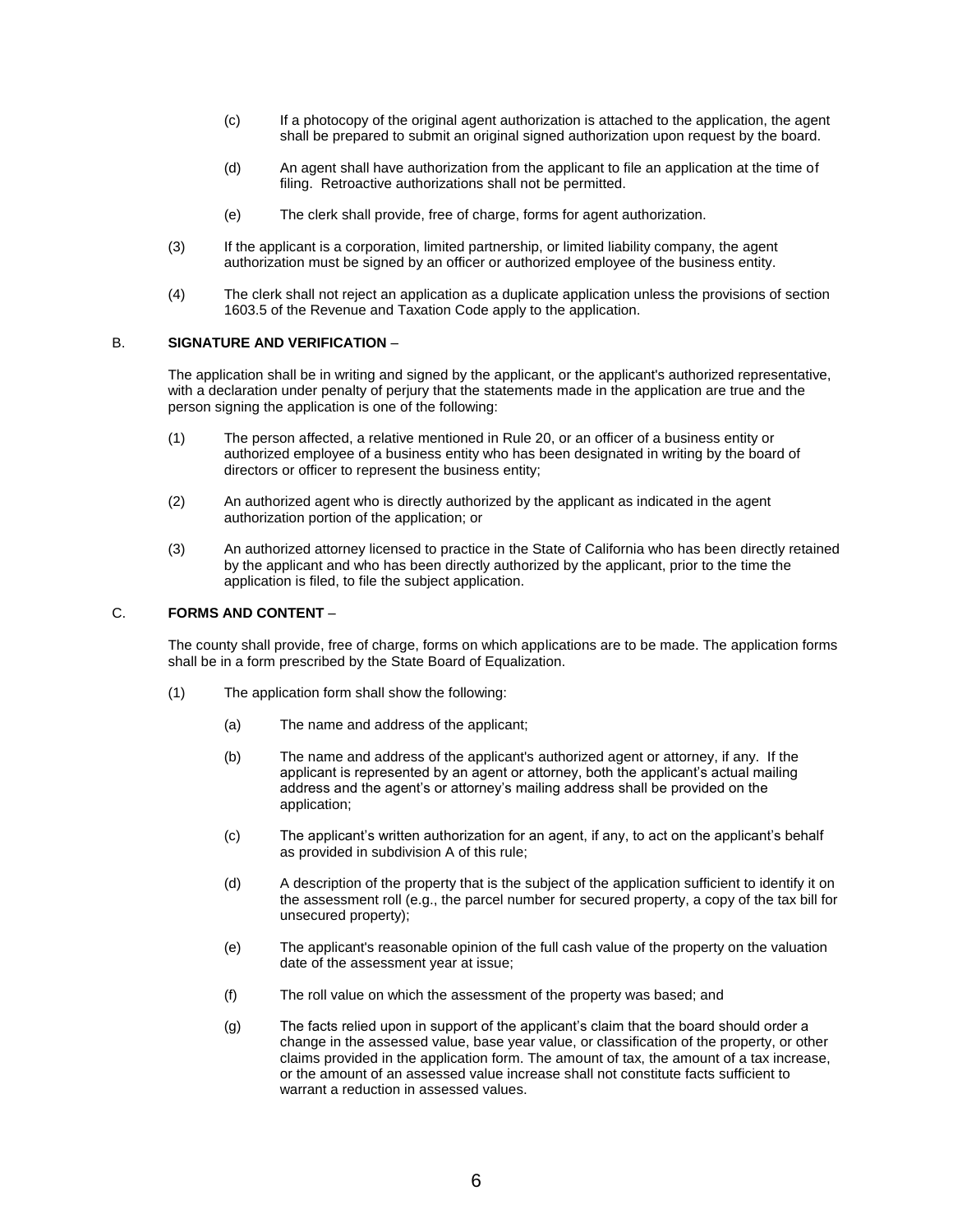- (c) If a photocopy of the original agent authorization is attached to the application, the agent shall be prepared to submit an original signed authorization upon request by the board.
- (d) An agent shall have authorization from the applicant to file an application at the time of filing. Retroactive authorizations shall not be permitted.
- (e) The clerk shall provide, free of charge, forms for agent authorization.
- (3) If the applicant is a corporation, limited partnership, or limited liability company, the agent authorization must be signed by an officer or authorized employee of the business entity.
- (4) The clerk shall not reject an application as a duplicate application unless the provisions of section 1603.5 of the Revenue and Taxation Code apply to the application.

#### B. **SIGNATURE AND VERIFICATION** –

The application shall be in writing and signed by the applicant, or the applicant's authorized representative, with a declaration under penalty of perjury that the statements made in the application are true and the person signing the application is one of the following:

- (1) The person affected, a relative mentioned in Rule 20, or an officer of a business entity or authorized employee of a business entity who has been designated in writing by the board of directors or officer to represent the business entity;
- (2) An authorized agent who is directly authorized by the applicant as indicated in the agent authorization portion of the application; or
- (3) An authorized attorney licensed to practice in the State of California who has been directly retained by the applicant and who has been directly authorized by the applicant, prior to the time the application is filed, to file the subject application.

#### C. **FORMS AND CONTENT** –

The county shall provide, free of charge, forms on which applications are to be made. The application forms shall be in a form prescribed by the State Board of Equalization.

- (1) The application form shall show the following:
	- (a) The name and address of the applicant;
	- (b) The name and address of the applicant's authorized agent or attorney, if any. If the applicant is represented by an agent or attorney, both the applicant's actual mailing address and the agent's or attorney's mailing address shall be provided on the application;
	- (c) The applicant's written authorization for an agent, if any, to act on the applicant's behalf as provided in subdivision A of this rule;
	- (d) A description of the property that is the subject of the application sufficient to identify it on the assessment roll (e.g., the parcel number for secured property, a copy of the tax bill for unsecured property);
	- (e) The applicant's reasonable opinion of the full cash value of the property on the valuation date of the assessment year at issue;
	- (f) The roll value on which the assessment of the property was based; and
	- (g) The facts relied upon in support of the applicant's claim that the board should order a change in the assessed value, base year value, or classification of the property, or other claims provided in the application form. The amount of tax, the amount of a tax increase, or the amount of an assessed value increase shall not constitute facts sufficient to warrant a reduction in assessed values.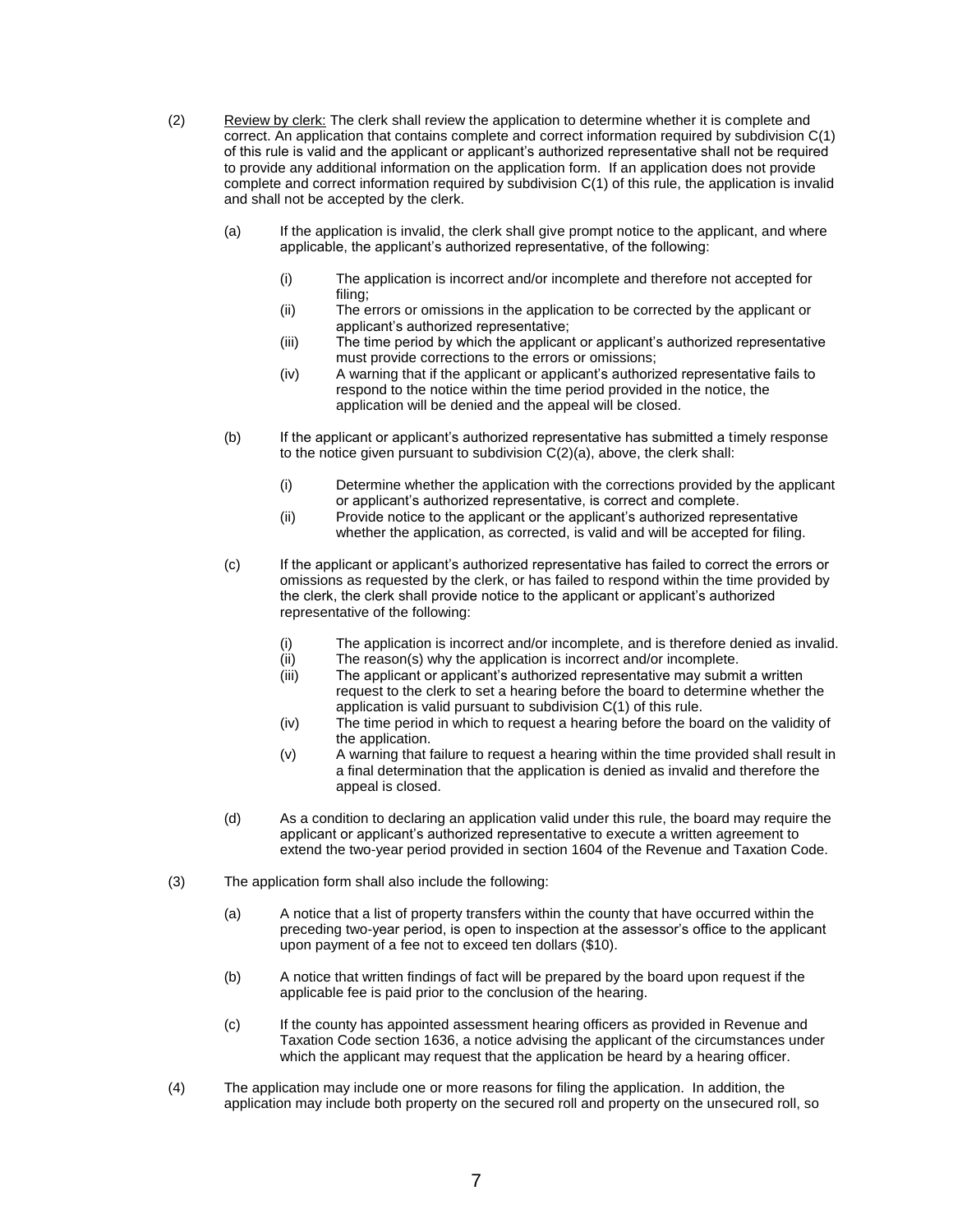(2) Review by clerk: The clerk shall review the application to determine whether it is complete and correct. An application that contains complete and correct information required by subdivision C(1) of this rule is valid and the applicant or applicant's authorized representative shall not be required to provide any additional information on the application form. If an application does not provide complete and correct information required by subdivision C(1) of this rule, the application is invalid and shall not be accepted by the clerk.

- (a) If the application is invalid, the clerk shall give prompt notice to the applicant, and where applicable, the applicant's authorized representative, of the following:
	- (i) The application is incorrect and/or incomplete and therefore not accepted for filing;
	- (ii) The errors or omissions in the application to be corrected by the applicant or applicant's authorized representative;
	- (iii) The time period by which the applicant or applicant's authorized representative must provide corrections to the errors or omissions;
	- (iv) A warning that if the applicant or applicant's authorized representative fails to respond to the notice within the time period provided in the notice, the application will be denied and the appeal will be closed.
- (b) If the applicant or applicant's authorized representative has submitted a timely response to the notice given pursuant to subdivision C(2)(a), above, the clerk shall:
	- (i) Determine whether the application with the corrections provided by the applicant or applicant's authorized representative, is correct and complete.
	- (ii) Provide notice to the applicant or the applicant's authorized representative whether the application, as corrected, is valid and will be accepted for filing.
- (c) If the applicant or applicant's authorized representative has failed to correct the errors or omissions as requested by the clerk, or has failed to respond within the time provided by the clerk, the clerk shall provide notice to the applicant or applicant's authorized representative of the following:
	- (i) The application is incorrect and/or incomplete, and is therefore denied as invalid.
	- (ii) The reason(s) why the application is incorrect and/or incomplete.
	- (iii) The applicant or applicant's authorized representative may submit a written request to the clerk to set a hearing before the board to determine whether the application is valid pursuant to subdivision C(1) of this rule.
	- (iv) The time period in which to request a hearing before the board on the validity of the application.
	- (v) A warning that failure to request a hearing within the time provided shall result in a final determination that the application is denied as invalid and therefore the appeal is closed.
- (d) As a condition to declaring an application valid under this rule, the board may require the applicant or applicant's authorized representative to execute a written agreement to extend the two-year period provided in section 1604 of the Revenue and Taxation Code.
- (3) The application form shall also include the following:
	- (a) A notice that a list of property transfers within the county that have occurred within the preceding two-year period, is open to inspection at the assessor's office to the applicant upon payment of a fee not to exceed ten dollars (\$10).
	- (b) A notice that written findings of fact will be prepared by the board upon request if the applicable fee is paid prior to the conclusion of the hearing.
	- (c) If the county has appointed assessment hearing officers as provided in Revenue and Taxation Code section 1636, a notice advising the applicant of the circumstances under which the applicant may request that the application be heard by a hearing officer.
- (4) The application may include one or more reasons for filing the application. In addition, the application may include both property on the secured roll and property on the unsecured roll, so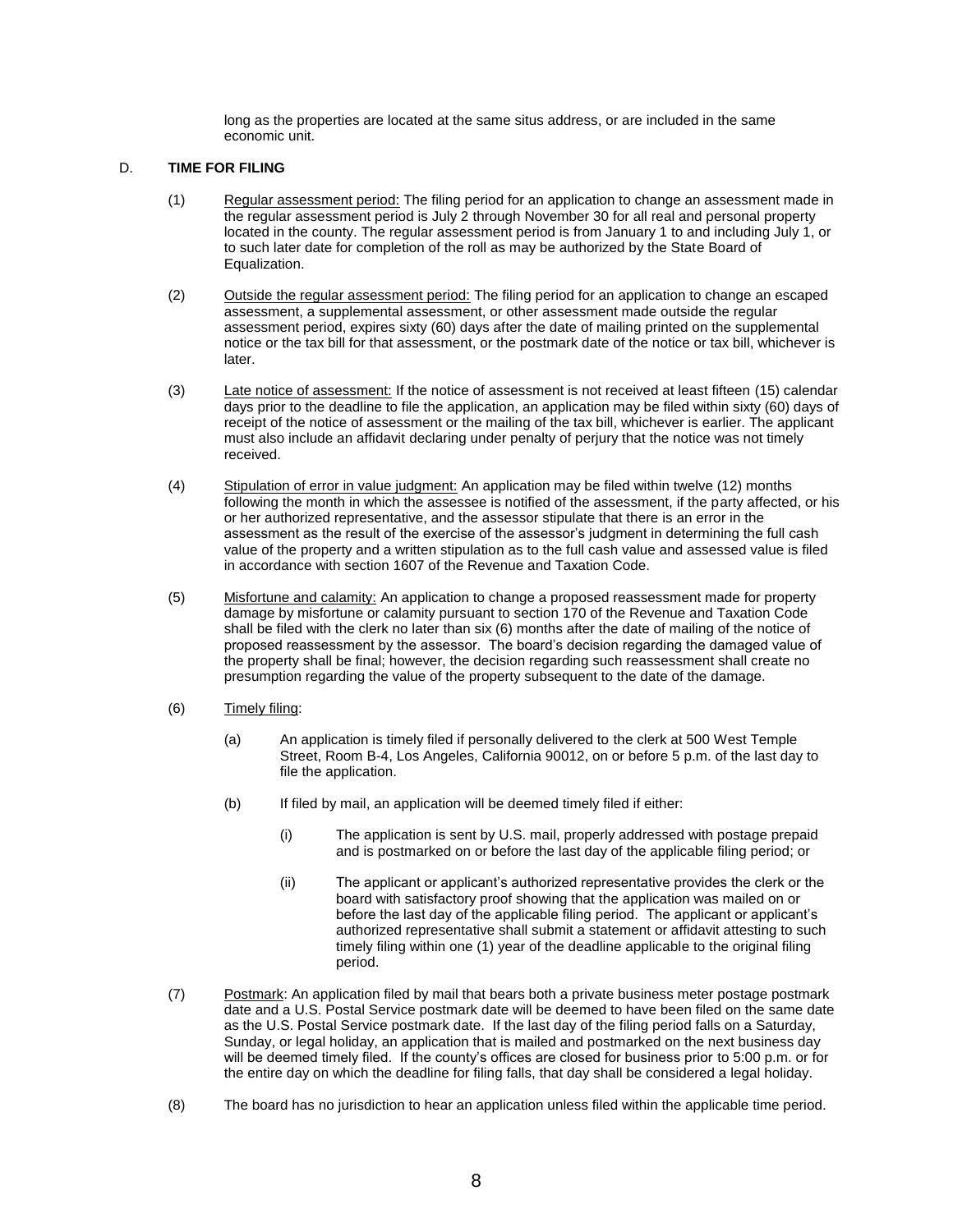long as the properties are located at the same situs address, or are included in the same economic unit.

#### D. **TIME FOR FILING**

- (1) Regular assessment period: The filing period for an application to change an assessment made in the regular assessment period is July 2 through November 30 for all real and personal property located in the county. The regular assessment period is from January 1 to and including July 1, or to such later date for completion of the roll as may be authorized by the State Board of Equalization.
- (2) Outside the regular assessment period: The filing period for an application to change an escaped assessment, a supplemental assessment, or other assessment made outside the regular assessment period, expires sixty (60) days after the date of mailing printed on the supplemental notice or the tax bill for that assessment, or the postmark date of the notice or tax bill, whichever is later.
- (3) Late notice of assessment: If the notice of assessment is not received at least fifteen (15) calendar days prior to the deadline to file the application, an application may be filed within sixty (60) days of receipt of the notice of assessment or the mailing of the tax bill, whichever is earlier. The applicant must also include an affidavit declaring under penalty of perjury that the notice was not timely received.
- (4) Stipulation of error in value judgment: An application may be filed within twelve (12) months following the month in which the assessee is notified of the assessment, if the party affected, or his or her authorized representative, and the assessor stipulate that there is an error in the assessment as the result of the exercise of the assessor's judgment in determining the full cash value of the property and a written stipulation as to the full cash value and assessed value is filed in accordance with section 1607 of the Revenue and Taxation Code.
- (5) Misfortune and calamity: An application to change a proposed reassessment made for property damage by misfortune or calamity pursuant to section 170 of the Revenue and Taxation Code shall be filed with the clerk no later than six (6) months after the date of mailing of the notice of proposed reassessment by the assessor. The board's decision regarding the damaged value of the property shall be final; however, the decision regarding such reassessment shall create no presumption regarding the value of the property subsequent to the date of the damage.
- (6) Timely filing:
	- (a) An application is timely filed if personally delivered to the clerk at 500 West Temple Street, Room B-4, Los Angeles, California 90012, on or before 5 p.m. of the last day to file the application.
	- (b) If filed by mail, an application will be deemed timely filed if either:
		- (i) The application is sent by U.S. mail, properly addressed with postage prepaid and is postmarked on or before the last day of the applicable filing period; or
		- (ii) The applicant or applicant's authorized representative provides the clerk or the board with satisfactory proof showing that the application was mailed on or before the last day of the applicable filing period. The applicant or applicant's authorized representative shall submit a statement or affidavit attesting to such timely filing within one (1) year of the deadline applicable to the original filing period.
- (7) Postmark: An application filed by mail that bears both a private business meter postage postmark date and a U.S. Postal Service postmark date will be deemed to have been filed on the same date as the U.S. Postal Service postmark date. If the last day of the filing period falls on a Saturday, Sunday, or legal holiday, an application that is mailed and postmarked on the next business day will be deemed timely filed. If the county's offices are closed for business prior to 5:00 p.m. or for the entire day on which the deadline for filing falls, that day shall be considered a legal holiday.
- (8) The board has no jurisdiction to hear an application unless filed within the applicable time period.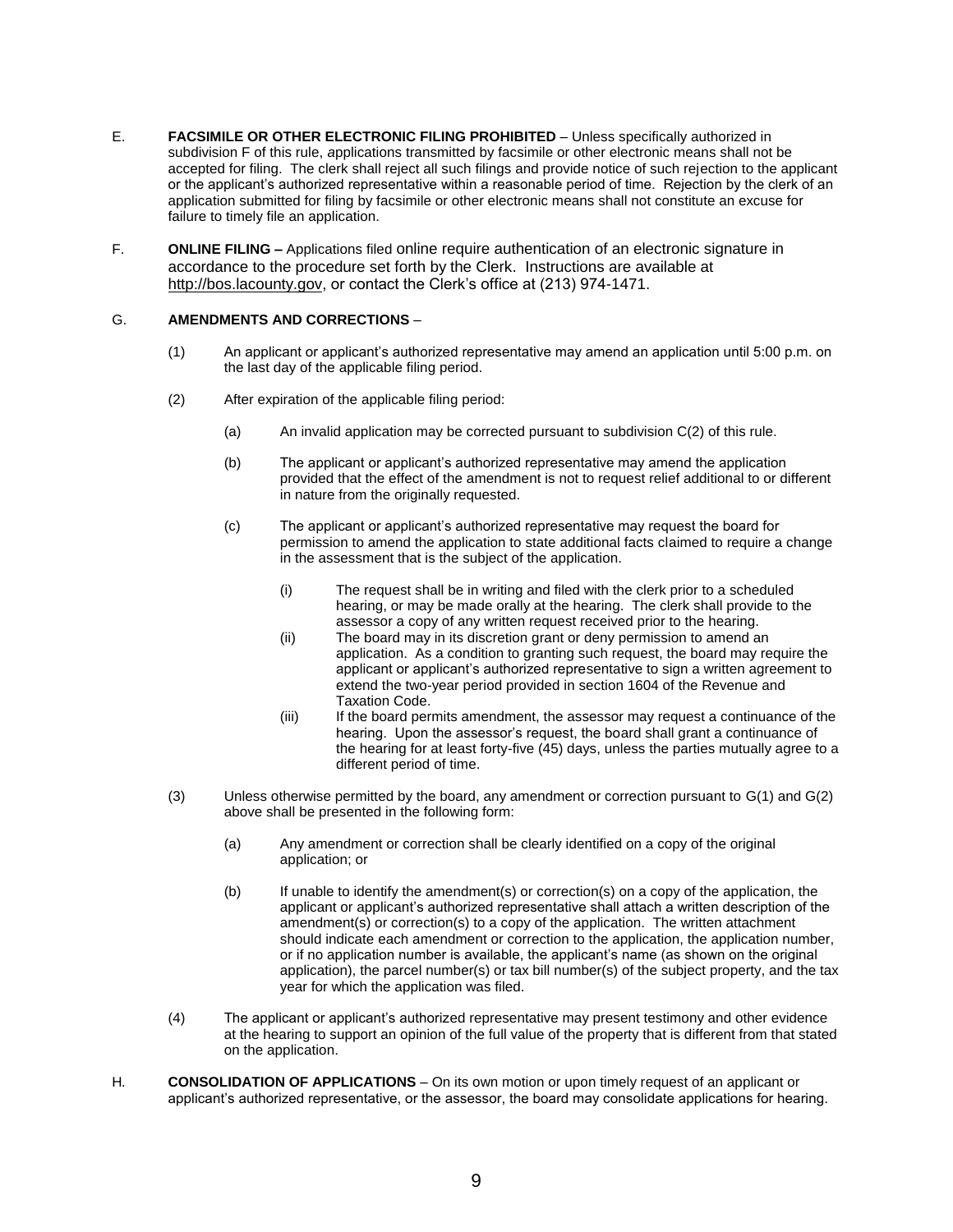- E. **FACSIMILE OR OTHER ELECTRONIC FILING PROHIBITED** Unless specifically authorized in subdivision F of this rule, *a*pplications transmitted by facsimile or other electronic means shall not be accepted for filing. The clerk shall reject all such filings and provide notice of such rejection to the applicant or the applicant's authorized representative within a reasonable period of time. Rejection by the clerk of an application submitted for filing by facsimile or other electronic means shall not constitute an excuse for failure to timely file an application.
- F. **ONLINE FILING –** Applications filed online require authentication of an electronic signature in accordance to the procedure set forth by the Clerk. Instructions are available at [http://bos.lacounty.gov,](http://bos.lacounty.gov/) or contact the Clerk's office at (213) 974-1471.

#### G. **AMENDMENTS AND CORRECTIONS** –

- (1) An applicant or applicant's authorized representative may amend an application until 5:00 p.m. on the last day of the applicable filing period.
- (2) After expiration of the applicable filing period:
	- (a) An invalid application may be corrected pursuant to subdivision C(2) of this rule.
	- (b) The applicant or applicant's authorized representative may amend the application provided that the effect of the amendment is not to request relief additional to or different in nature from the originally requested.
	- (c) The applicant or applicant's authorized representative may request the board for permission to amend the application to state additional facts claimed to require a change in the assessment that is the subject of the application.
		- (i) The request shall be in writing and filed with the clerk prior to a scheduled hearing, or may be made orally at the hearing. The clerk shall provide to the assessor a copy of any written request received prior to the hearing.
		- (ii) The board may in its discretion grant or deny permission to amend an application. As a condition to granting such request, the board may require the applicant or applicant's authorized representative to sign a written agreement to extend the two-year period provided in section 1604 of the Revenue and Taxation Code.
		- (iii) If the board permits amendment, the assessor may request a continuance of the hearing. Upon the assessor's request, the board shall grant a continuance of the hearing for at least forty-five (45) days, unless the parties mutually agree to a different period of time.
- (3) Unless otherwise permitted by the board, any amendment or correction pursuant to G(1) and G(2) above shall be presented in the following form:
	- (a) Any amendment or correction shall be clearly identified on a copy of the original application; or
	- (b) If unable to identify the amendment(s) or correction(s) on a copy of the application, the applicant or applicant's authorized representative shall attach a written description of the amendment(s) or correction(s) to a copy of the application. The written attachment should indicate each amendment or correction to the application, the application number, or if no application number is available, the applicant's name (as shown on the original application), the parcel number(s) or tax bill number(s) of the subject property, and the tax year for which the application was filed.
- (4) The applicant or applicant's authorized representative may present testimony and other evidence at the hearing to support an opinion of the full value of the property that is different from that stated on the application.
- H*.* **CONSOLIDATION OF APPLICATIONS** On its own motion or upon timely request of an applicant or applicant's authorized representative, or the assessor, the board may consolidate applications for hearing.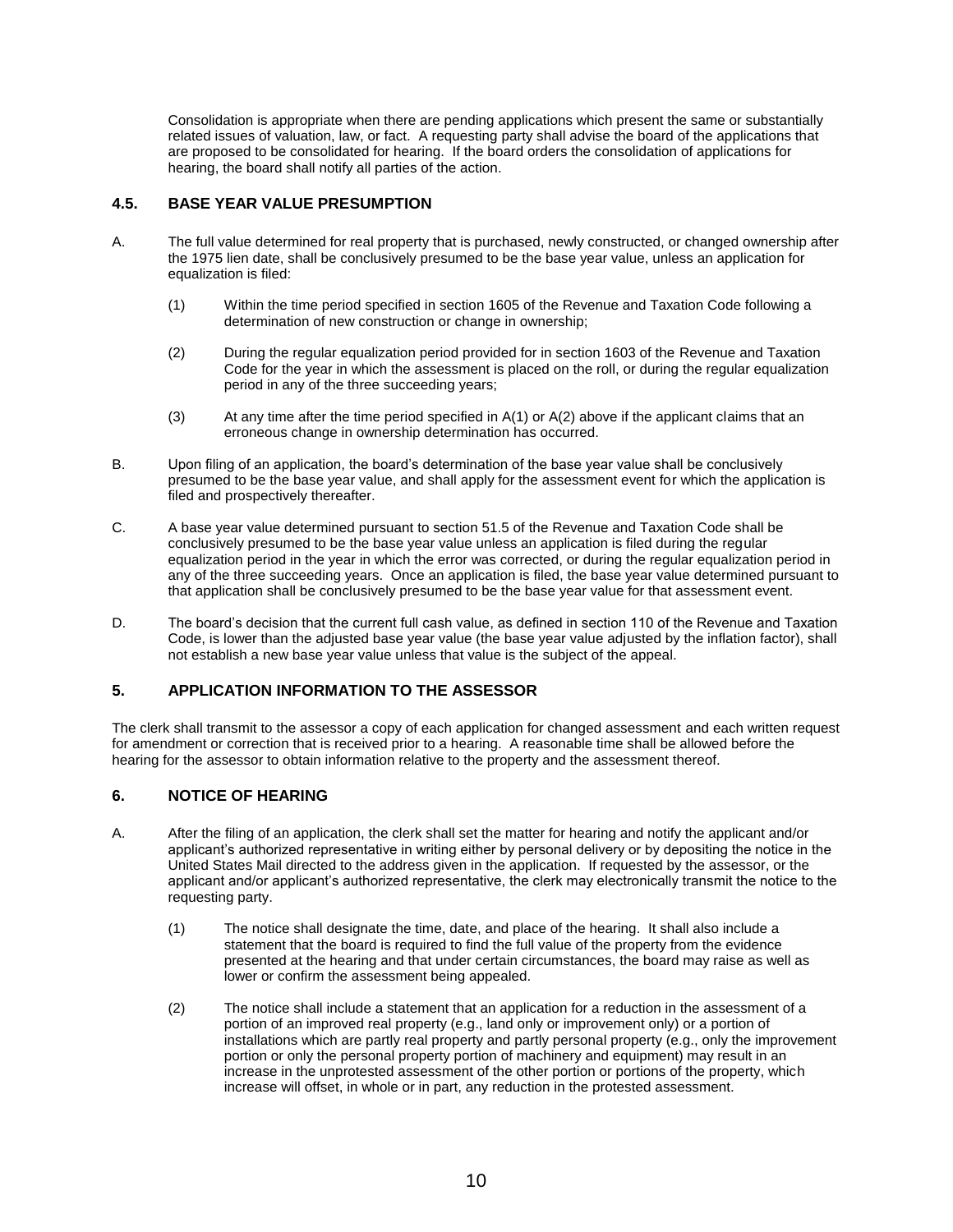Consolidation is appropriate when there are pending applications which present the same or substantially related issues of valuation, law, or fact. A requesting party shall advise the board of the applications that are proposed to be consolidated for hearing. If the board orders the consolidation of applications for hearing, the board shall notify all parties of the action.

# <span id="page-9-0"></span>**4.5. BASE YEAR VALUE PRESUMPTION**

- A. The full value determined for real property that is purchased, newly constructed, or changed ownership after the 1975 lien date, shall be conclusively presumed to be the base year value, unless an application for equalization is filed:
	- (1) Within the time period specified in section 1605 of the Revenue and Taxation Code following a determination of new construction or change in ownership;
	- (2) During the regular equalization period provided for in section 1603 of the Revenue and Taxation Code for the year in which the assessment is placed on the roll, or during the regular equalization period in any of the three succeeding years;
	- (3) At any time after the time period specified in  $A(1)$  or  $A(2)$  above if the applicant claims that an erroneous change in ownership determination has occurred.
- B. Upon filing of an application, the board's determination of the base year value shall be conclusively presumed to be the base year value, and shall apply for the assessment event for which the application is filed and prospectively thereafter.
- C. A base year value determined pursuant to section 51.5 of the Revenue and Taxation Code shall be conclusively presumed to be the base year value unless an application is filed during the regular equalization period in the year in which the error was corrected, or during the regular equalization period in any of the three succeeding years. Once an application is filed, the base year value determined pursuant to that application shall be conclusively presumed to be the base year value for that assessment event.
- D. The board's decision that the current full cash value, as defined in section 110 of the Revenue and Taxation Code, is lower than the adjusted base year value (the base year value adjusted by the inflation factor), shall not establish a new base year value unless that value is the subject of the appeal.

# <span id="page-9-1"></span>**5. APPLICATION INFORMATION TO THE ASSESSOR**

The clerk shall transmit to the assessor a copy of each application for changed assessment and each written request for amendment or correction that is received prior to a hearing. A reasonable time shall be allowed before the hearing for the assessor to obtain information relative to the property and the assessment thereof.

## <span id="page-9-2"></span>**6. NOTICE OF HEARING**

- A. After the filing of an application, the clerk shall set the matter for hearing and notify the applicant and/or applicant's authorized representative in writing either by personal delivery or by depositing the notice in the United States Mail directed to the address given in the application. If requested by the assessor, or the applicant and/or applicant's authorized representative, the clerk may electronically transmit the notice to the requesting party.
	- (1) The notice shall designate the time, date, and place of the hearing. It shall also include a statement that the board is required to find the full value of the property from the evidence presented at the hearing and that under certain circumstances, the board may raise as well as lower or confirm the assessment being appealed.
	- (2) The notice shall include a statement that an application for a reduction in the assessment of a portion of an improved real property (e.g., land only or improvement only) or a portion of installations which are partly real property and partly personal property (e.g., only the improvement portion or only the personal property portion of machinery and equipment) may result in an increase in the unprotested assessment of the other portion or portions of the property, which increase will offset, in whole or in part, any reduction in the protested assessment.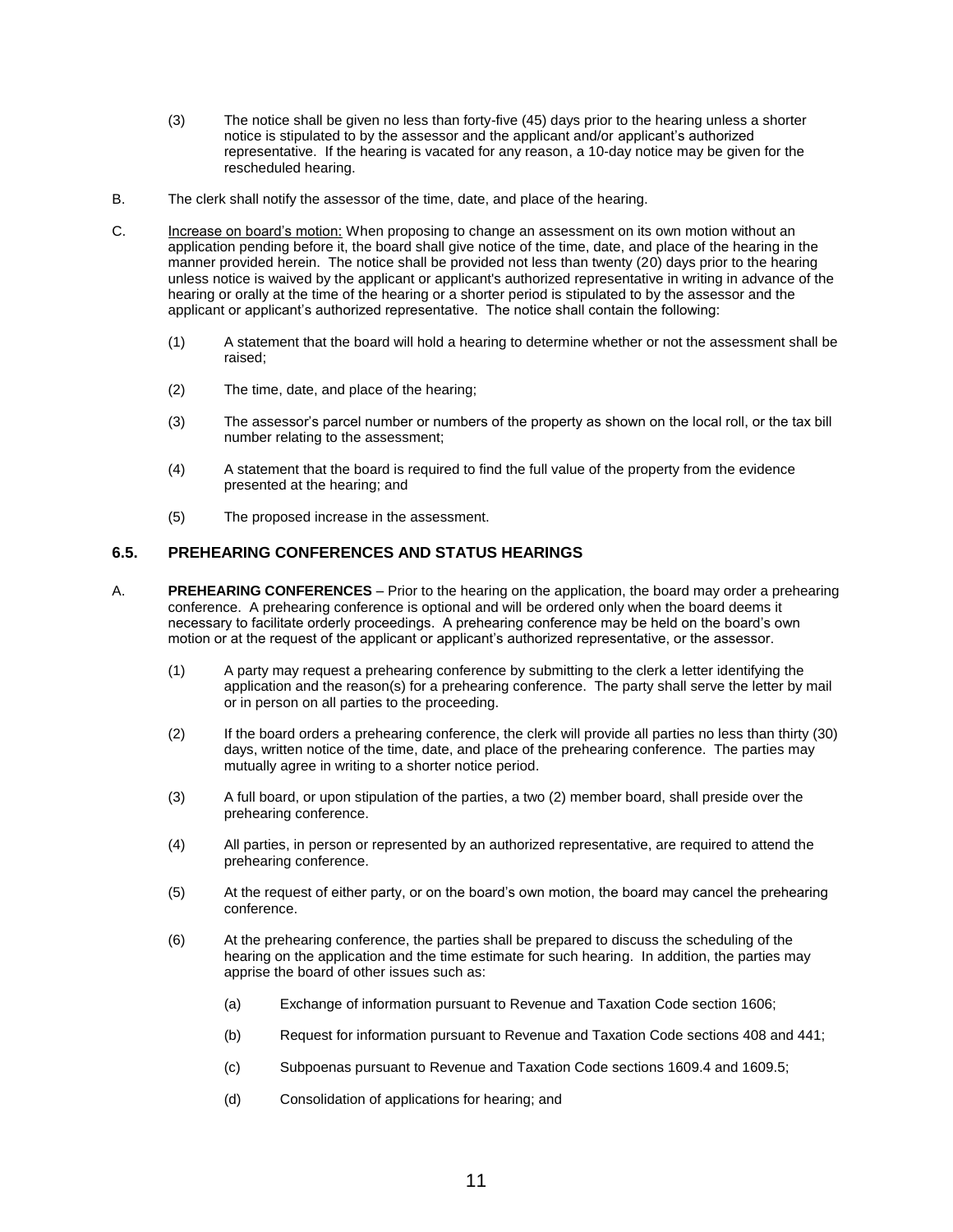- (3) The notice shall be given no less than forty-five (45) days prior to the hearing unless a shorter notice is stipulated to by the assessor and the applicant and/or applicant's authorized representative. If the hearing is vacated for any reason, a 10-day notice may be given for the rescheduled hearing.
- B. The clerk shall notify the assessor of the time, date, and place of the hearing.
- C. Increase on board's motion: When proposing to change an assessment on its own motion without an application pending before it, the board shall give notice of the time, date, and place of the hearing in the manner provided herein. The notice shall be provided not less than twenty (20) days prior to the hearing unless notice is waived by the applicant or applicant's authorized representative in writing in advance of the hearing or orally at the time of the hearing or a shorter period is stipulated to by the assessor and the applicant or applicant's authorized representative. The notice shall contain the following:
	- (1) A statement that the board will hold a hearing to determine whether or not the assessment shall be raised;
	- (2) The time, date, and place of the hearing;
	- (3) The assessor's parcel number or numbers of the property as shown on the local roll, or the tax bill number relating to the assessment;
	- (4) A statement that the board is required to find the full value of the property from the evidence presented at the hearing; and
	- (5) The proposed increase in the assessment.

#### <span id="page-10-0"></span>**6.5. PREHEARING CONFERENCES AND STATUS HEARINGS**

- A. **PREHEARING CONFERENCES** Prior to the hearing on the application, the board may order a prehearing conference. A prehearing conference is optional and will be ordered only when the board deems it necessary to facilitate orderly proceedings. A prehearing conference may be held on the board's own motion or at the request of the applicant or applicant's authorized representative, or the assessor.
	- (1) A party may request a prehearing conference by submitting to the clerk a letter identifying the application and the reason(s) for a prehearing conference. The party shall serve the letter by mail or in person on all parties to the proceeding.
	- (2) If the board orders a prehearing conference, the clerk will provide all parties no less than thirty (30) days, written notice of the time, date, and place of the prehearing conference. The parties may mutually agree in writing to a shorter notice period.
	- (3) A full board, or upon stipulation of the parties, a two (2) member board, shall preside over the prehearing conference.
	- (4) All parties, in person or represented by an authorized representative, are required to attend the prehearing conference.
	- (5) At the request of either party, or on the board's own motion, the board may cancel the prehearing conference.
	- (6) At the prehearing conference, the parties shall be prepared to discuss the scheduling of the hearing on the application and the time estimate for such hearing. In addition, the parties may apprise the board of other issues such as:
		- (a) Exchange of information pursuant to Revenue and Taxation Code section 1606;
		- (b) Request for information pursuant to Revenue and Taxation Code sections 408 and 441;
		- (c) Subpoenas pursuant to Revenue and Taxation Code sections 1609.4 and 1609.5;
		- (d) Consolidation of applications for hearing; and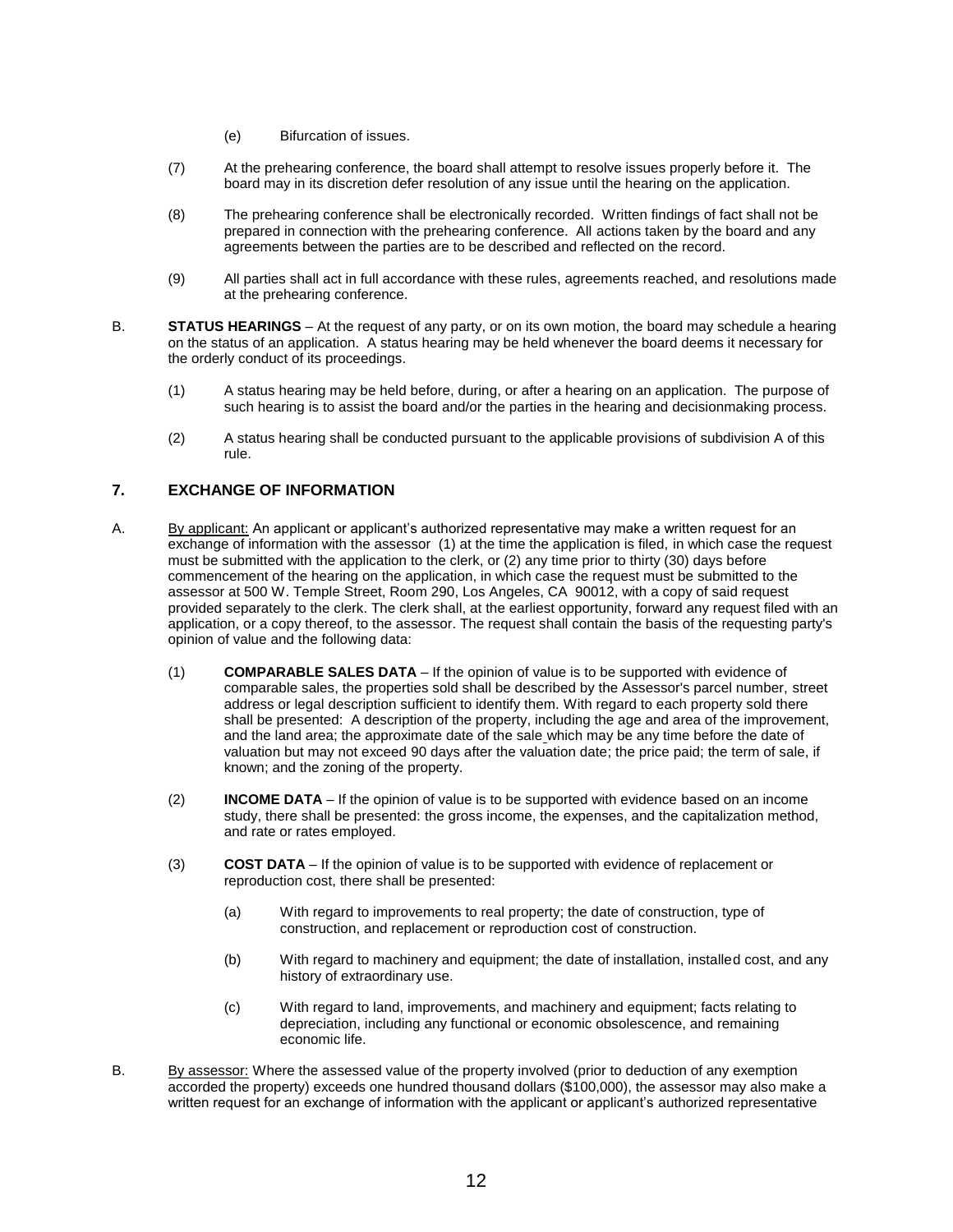- (e) Bifurcation of issues.
- (7) At the prehearing conference, the board shall attempt to resolve issues properly before it. The board may in its discretion defer resolution of any issue until the hearing on the application.
- (8) The prehearing conference shall be electronically recorded. Written findings of fact shall not be prepared in connection with the prehearing conference. All actions taken by the board and any agreements between the parties are to be described and reflected on the record.
- (9) All parties shall act in full accordance with these rules, agreements reached, and resolutions made at the prehearing conference.
- B. **STATUS HEARINGS**  At the request of any party, or on its own motion, the board may schedule a hearing on the status of an application. A status hearing may be held whenever the board deems it necessary for the orderly conduct of its proceedings.
	- (1) A status hearing may be held before, during, or after a hearing on an application. The purpose of such hearing is to assist the board and/or the parties in the hearing and decisionmaking process.
	- (2) A status hearing shall be conducted pursuant to the applicable provisions of subdivision A of this rule.

## <span id="page-11-0"></span>**7. EXCHANGE OF INFORMATION**

- A. By applicant: An applicant or applicant's authorized representative may make a written request for an exchange of information with the assessor (1) at the time the application is filed, in which case the request must be submitted with the application to the clerk, or (2) any time prior to thirty (30) days before commencement of the hearing on the application, in which case the request must be submitted to the assessor at 500 W. Temple Street, Room 290, Los Angeles, CA 90012, with a copy of said request provided separately to the clerk. The clerk shall, at the earliest opportunity, forward any request filed with an application, or a copy thereof, to the assessor. The request shall contain the basis of the requesting party's opinion of value and the following data:
	- (1) **COMPARABLE SALES DATA** If the opinion of value is to be supported with evidence of comparable sales, the properties sold shall be described by the Assessor's parcel number, street address or legal description sufficient to identify them. With regard to each property sold there shall be presented: A description of the property, including the age and area of the improvement, and the land area; the approximate date of the sale which may be any time before the date of valuation but may not exceed 90 days after the valuation date; the price paid; the term of sale, if known; and the zoning of the property.
	- (2) **INCOME DATA** If the opinion of value is to be supported with evidence based on an income study, there shall be presented: the gross income, the expenses, and the capitalization method, and rate or rates employed.
	- (3) **COST DATA** If the opinion of value is to be supported with evidence of replacement or reproduction cost, there shall be presented:
		- (a) With regard to improvements to real property; the date of construction, type of construction, and replacement or reproduction cost of construction.
		- (b) With regard to machinery and equipment; the date of installation, installed cost, and any history of extraordinary use.
		- (c) With regard to land, improvements, and machinery and equipment; facts relating to depreciation, including any functional or economic obsolescence, and remaining economic life.
- B. By assessor: Where the assessed value of the property involved (prior to deduction of any exemption accorded the property) exceeds one hundred thousand dollars (\$100,000), the assessor may also make a written request for an exchange of information with the applicant or applicant's authorized representative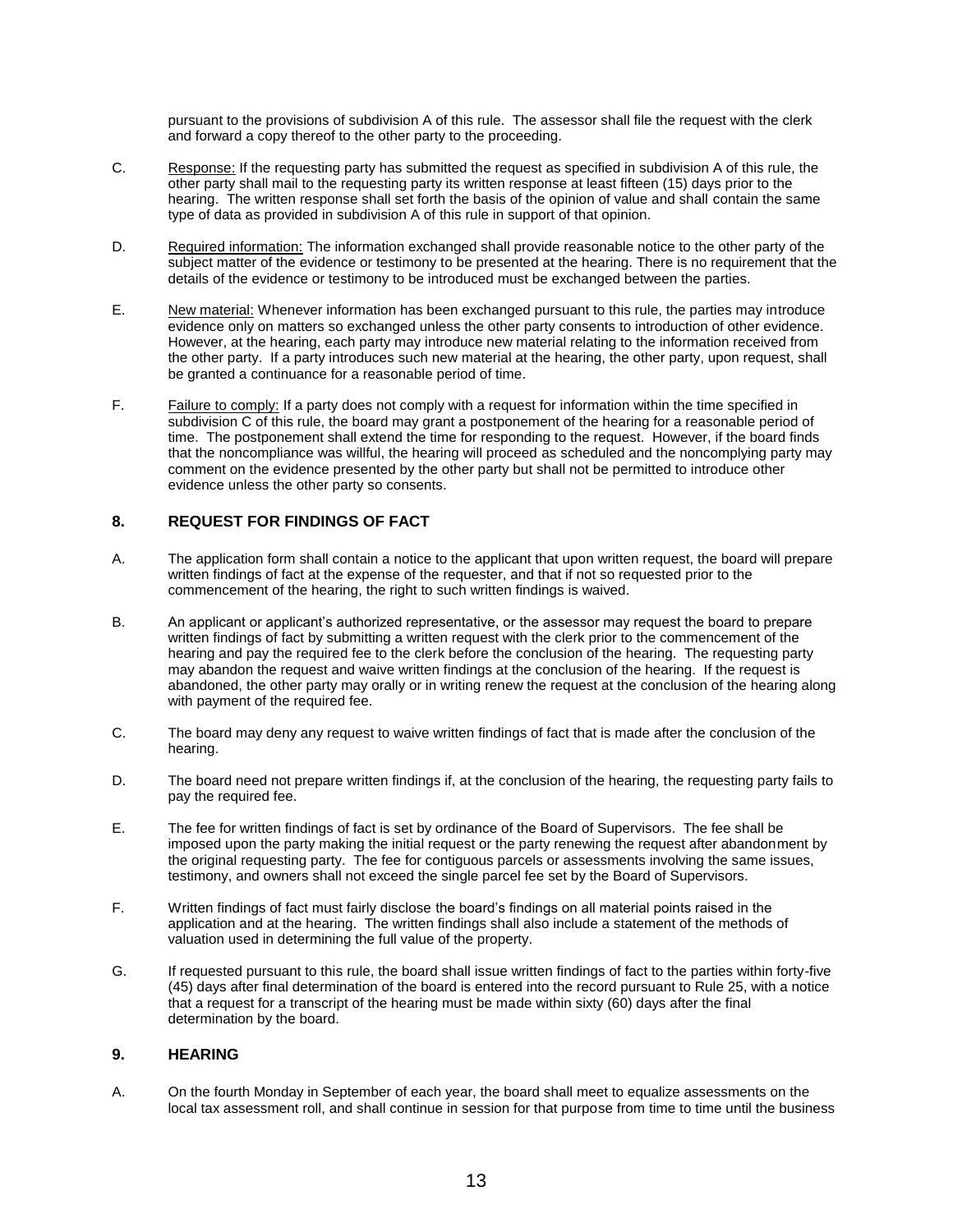pursuant to the provisions of subdivision A of this rule. The assessor shall file the request with the clerk and forward a copy thereof to the other party to the proceeding.

- C. Response: If the requesting party has submitted the request as specified in subdivision A of this rule, the other party shall mail to the requesting party its written response at least fifteen (15) days prior to the hearing. The written response shall set forth the basis of the opinion of value and shall contain the same type of data as provided in subdivision A of this rule in support of that opinion.
- D. Required information: The information exchanged shall provide reasonable notice to the other party of the subject matter of the evidence or testimony to be presented at the hearing. There is no requirement that the details of the evidence or testimony to be introduced must be exchanged between the parties.
- E. New material: Whenever information has been exchanged pursuant to this rule, the parties may introduce evidence only on matters so exchanged unless the other party consents to introduction of other evidence. However, at the hearing, each party may introduce new material relating to the information received from the other party. If a party introduces such new material at the hearing, the other party, upon request, shall be granted a continuance for a reasonable period of time.
- F. Failure to comply: If a party does not comply with a request for information within the time specified in subdivision C of this rule, the board may grant a postponement of the hearing for a reasonable period of time. The postponement shall extend the time for responding to the request. However, if the board finds that the noncompliance was willful, the hearing will proceed as scheduled and the noncomplying party may comment on the evidence presented by the other party but shall not be permitted to introduce other evidence unless the other party so consents.

## <span id="page-12-0"></span>**8. REQUEST FOR FINDINGS OF FACT**

- A. The application form shall contain a notice to the applicant that upon written request, the board will prepare written findings of fact at the expense of the requester, and that if not so requested prior to the commencement of the hearing, the right to such written findings is waived.
- B. An applicant or applicant's authorized representative, or the assessor may request the board to prepare written findings of fact by submitting a written request with the clerk prior to the commencement of the hearing and pay the required fee to the clerk before the conclusion of the hearing. The requesting party may abandon the request and waive written findings at the conclusion of the hearing. If the request is abandoned, the other party may orally or in writing renew the request at the conclusion of the hearing along with payment of the required fee.
- C. The board may deny any request to waive written findings of fact that is made after the conclusion of the hearing.
- D. The board need not prepare written findings if, at the conclusion of the hearing, the requesting party fails to pay the required fee.
- E. The fee for written findings of fact is set by ordinance of the Board of Supervisors. The fee shall be imposed upon the party making the initial request or the party renewing the request after abandonment by the original requesting party. The fee for contiguous parcels or assessments involving the same issues, testimony, and owners shall not exceed the single parcel fee set by the Board of Supervisors.
- F. Written findings of fact must fairly disclose the board's findings on all material points raised in the application and at the hearing. The written findings shall also include a statement of the methods of valuation used in determining the full value of the property.
- G. If requested pursuant to this rule, the board shall issue written findings of fact to the parties within forty-five (45) days after final determination of the board is entered into the record pursuant to Rule 25, with a notice that a request for a transcript of the hearing must be made within sixty (60) days after the final determination by the board.

#### <span id="page-12-1"></span>**9. HEARING**

A. On the fourth Monday in September of each year, the board shall meet to equalize assessments on the local tax assessment roll, and shall continue in session for that purpose from time to time until the business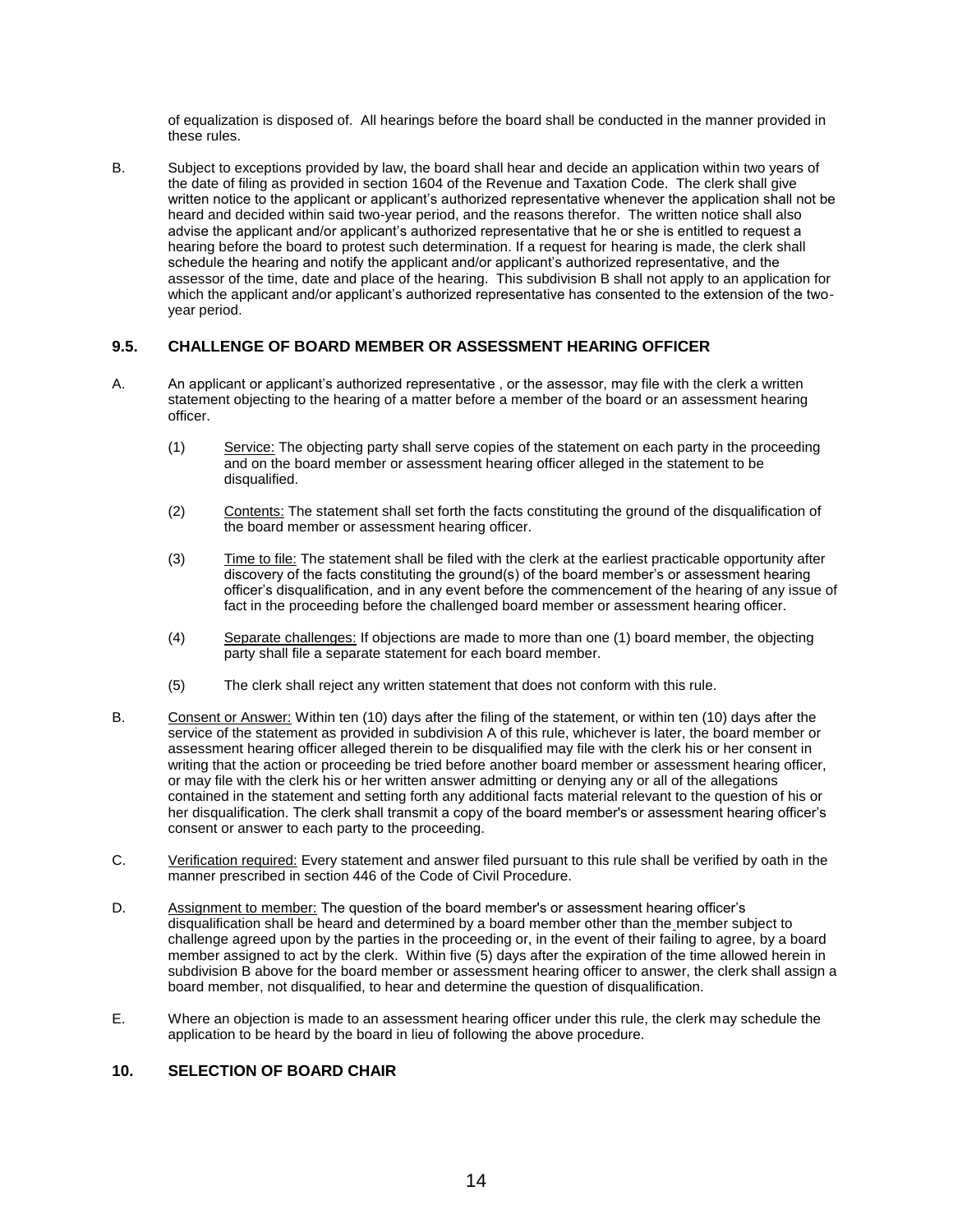of equalization is disposed of. All hearings before the board shall be conducted in the manner provided in these rules.

B. Subject to exceptions provided by law, the board shall hear and decide an application within two years of the date of filing as provided in section 1604 of the Revenue and Taxation Code. The clerk shall give written notice to the applicant or applicant's authorized representative whenever the application shall not be heard and decided within said two-year period, and the reasons therefor. The written notice shall also advise the applicant and/or applicant's authorized representative that he or she is entitled to request a hearing before the board to protest such determination. If a request for hearing is made, the clerk shall schedule the hearing and notify the applicant and/or applicant's authorized representative, and the assessor of the time, date and place of the hearing. This subdivision B shall not apply to an application for which the applicant and/or applicant's authorized representative has consented to the extension of the twoyear period.

# <span id="page-13-0"></span>**9.5. CHALLENGE OF BOARD MEMBER OR ASSESSMENT HEARING OFFICER**

- A. An applicant or applicant's authorized representative , or the assessor, may file with the clerk a written statement objecting to the hearing of a matter before a member of the board or an assessment hearing officer.
	- (1) Service: The objecting party shall serve copies of the statement on each party in the proceeding and on the board member or assessment hearing officer alleged in the statement to be disqualified.
	- (2) Contents: The statement shall set forth the facts constituting the ground of the disqualification of the board member or assessment hearing officer.
	- (3) Time to file: The statement shall be filed with the clerk at the earliest practicable opportunity after discovery of the facts constituting the ground(s) of the board member's or assessment hearing officer's disqualification, and in any event before the commencement of the hearing of any issue of fact in the proceeding before the challenged board member or assessment hearing officer.
	- (4) Separate challenges: If objections are made to more than one (1) board member, the objecting party shall file a separate statement for each board member.
	- (5) The clerk shall reject any written statement that does not conform with this rule.
- B. Consent or Answer: Within ten (10) days after the filing of the statement, or within ten (10) days after the service of the statement as provided in subdivision A of this rule, whichever is later, the board member or assessment hearing officer alleged therein to be disqualified may file with the clerk his or her consent in writing that the action or proceeding be tried before another board member or assessment hearing officer, or may file with the clerk his or her written answer admitting or denying any or all of the allegations contained in the statement and setting forth any additional facts material relevant to the question of his or her disqualification. The clerk shall transmit a copy of the board member's or assessment hearing officer's consent or answer to each party to the proceeding.
- C. Verification required: Every statement and answer filed pursuant to this rule shall be verified by oath in the manner prescribed in section 446 of the Code of Civil Procedure.
- D. Assignment to member: The question of the board member's or assessment hearing officer's disqualification shall be heard and determined by a board member other than the member subject to challenge agreed upon by the parties in the proceeding or, in the event of their failing to agree, by a board member assigned to act by the clerk. Within five (5) days after the expiration of the time allowed herein in subdivision B above for the board member or assessment hearing officer to answer, the clerk shall assign a board member, not disqualified, to hear and determine the question of disqualification.
- E. Where an objection is made to an assessment hearing officer under this rule, the clerk may schedule the application to be heard by the board in lieu of following the above procedure.

# <span id="page-13-1"></span>**10. SELECTION OF BOARD CHAIR**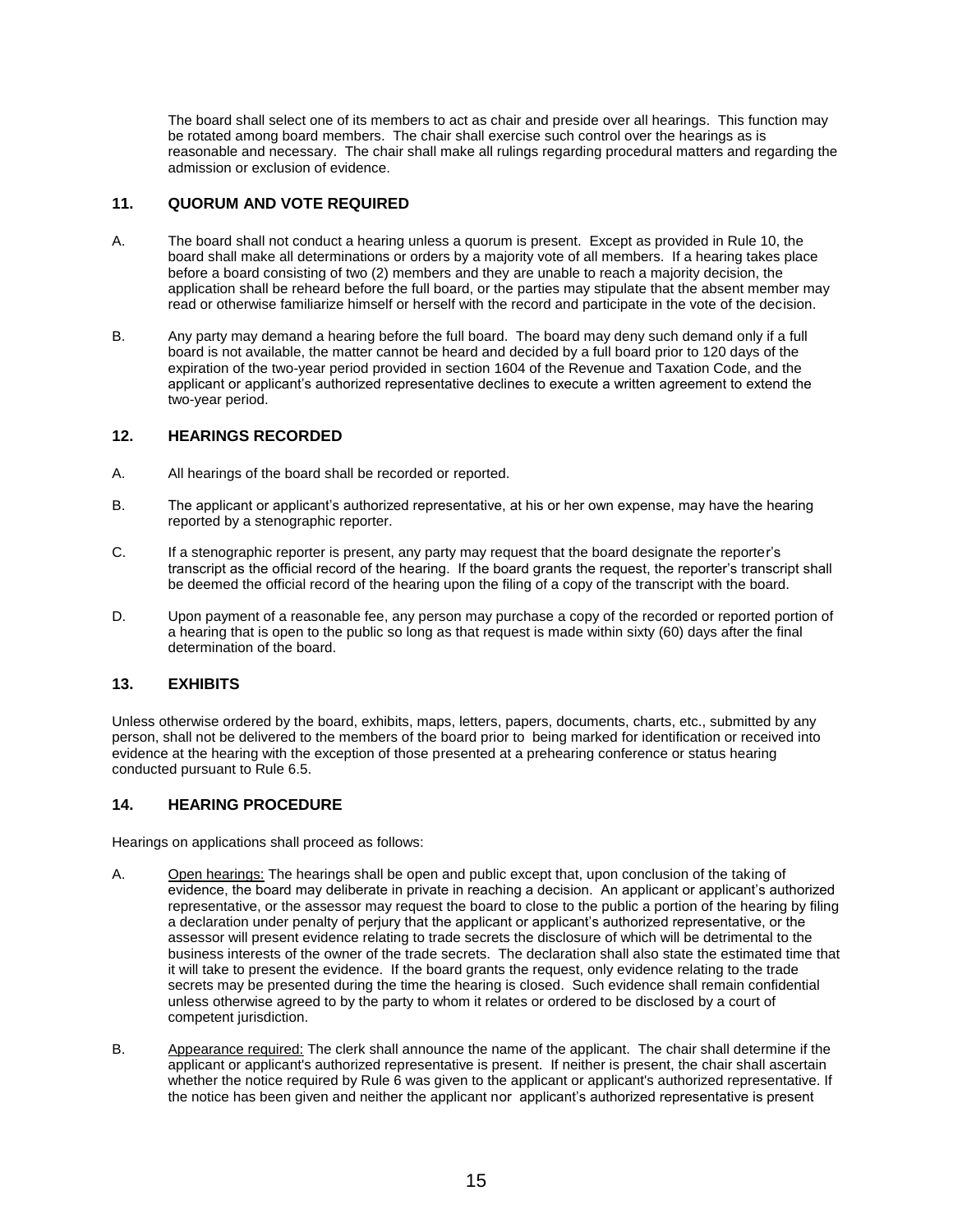The board shall select one of its members to act as chair and preside over all hearings. This function may be rotated among board members. The chair shall exercise such control over the hearings as is reasonable and necessary. The chair shall make all rulings regarding procedural matters and regarding the admission or exclusion of evidence.

## <span id="page-14-0"></span>**11. QUORUM AND VOTE REQUIRED**

- A. The board shall not conduct a hearing unless a quorum is present. Except as provided in Rule 10, the board shall make all determinations or orders by a majority vote of all members. If a hearing takes place before a board consisting of two (2) members and they are unable to reach a majority decision, the application shall be reheard before the full board, or the parties may stipulate that the absent member may read or otherwise familiarize himself or herself with the record and participate in the vote of the decision.
- B. Any party may demand a hearing before the full board. The board may deny such demand only if a full board is not available, the matter cannot be heard and decided by a full board prior to 120 days of the expiration of the two-year period provided in section 1604 of the Revenue and Taxation Code, and the applicant or applicant's authorized representative declines to execute a written agreement to extend the two-year period.

# <span id="page-14-1"></span>**12. HEARINGS RECORDED**

- A. All hearings of the board shall be recorded or reported.
- B. The applicant or applicant's authorized representative, at his or her own expense, may have the hearing reported by a stenographic reporter.
- C. If a stenographic reporter is present, any party may request that the board designate the reporter's transcript as the official record of the hearing. If the board grants the request, the reporter's transcript shall be deemed the official record of the hearing upon the filing of a copy of the transcript with the board.
- D. Upon payment of a reasonable fee, any person may purchase a copy of the recorded or reported portion of a hearing that is open to the public so long as that request is made within sixty (60) days after the final determination of the board.

## <span id="page-14-2"></span>**13. EXHIBITS**

Unless otherwise ordered by the board, exhibits, maps, letters, papers, documents, charts, etc., submitted by any person, shall not be delivered to the members of the board prior to being marked for identification or received into evidence at the hearing with the exception of those presented at a prehearing conference or status hearing conducted pursuant to Rule 6.5.

## <span id="page-14-3"></span>**14. HEARING PROCEDURE**

Hearings on applications shall proceed as follows:

- A. Open hearings: The hearings shall be open and public except that, upon conclusion of the taking of evidence, the board may deliberate in private in reaching a decision. An applicant or applicant's authorized representative, or the assessor may request the board to close to the public a portion of the hearing by filing a declaration under penalty of perjury that the applicant or applicant's authorized representative, or the assessor will present evidence relating to trade secrets the disclosure of which will be detrimental to the business interests of the owner of the trade secrets. The declaration shall also state the estimated time that it will take to present the evidence. If the board grants the request, only evidence relating to the trade secrets may be presented during the time the hearing is closed. Such evidence shall remain confidential unless otherwise agreed to by the party to whom it relates or ordered to be disclosed by a court of competent jurisdiction.
- B. Appearance required: The clerk shall announce the name of the applicant. The chair shall determine if the applicant or applicant's authorized representative is present. If neither is present, the chair shall ascertain whether the notice required by Rule 6 was given to the applicant or applicant's authorized representative. If the notice has been given and neither the applicant nor applicant's authorized representative is present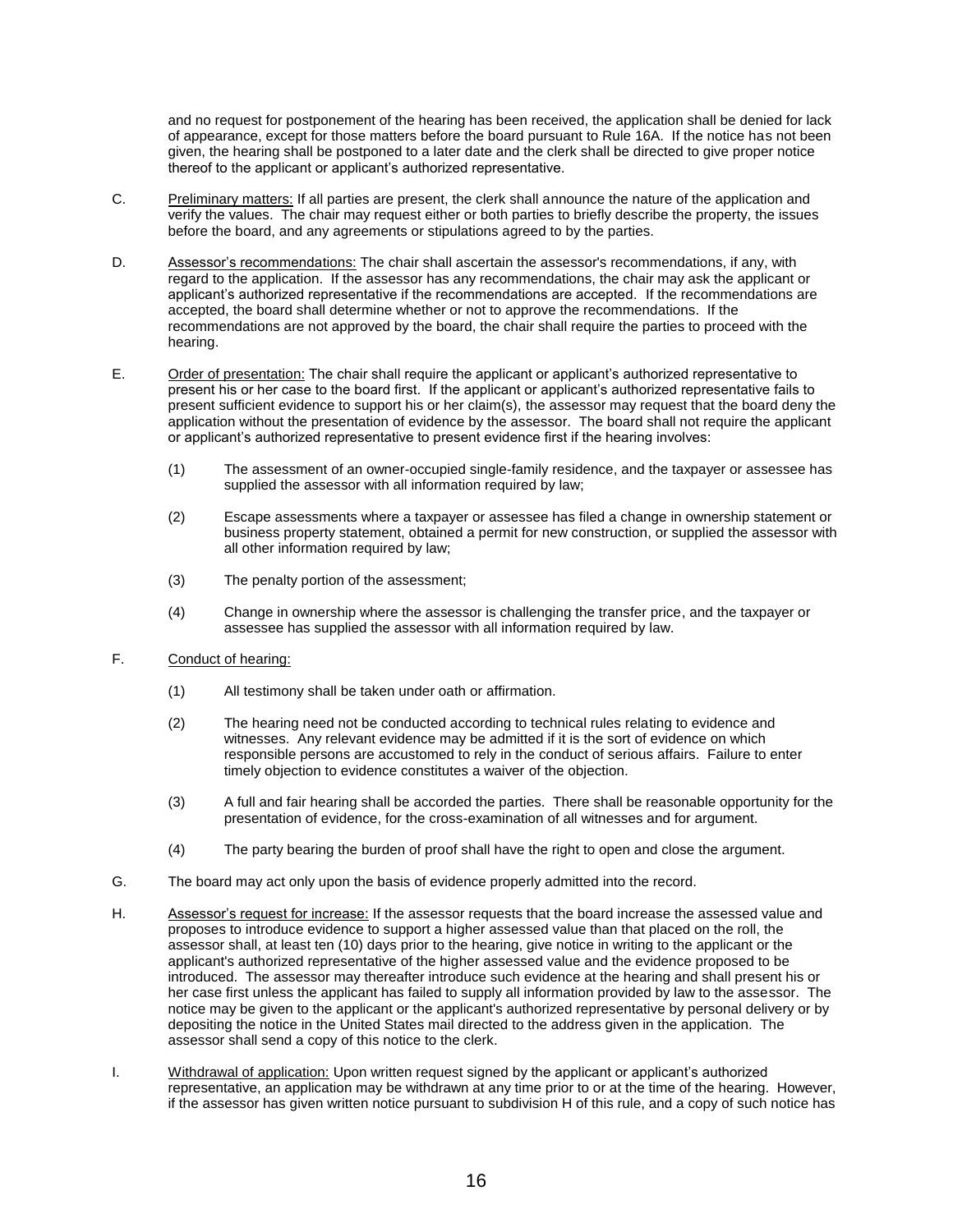and no request for postponement of the hearing has been received, the application shall be denied for lack of appearance, except for those matters before the board pursuant to Rule 16A. If the notice has not been given, the hearing shall be postponed to a later date and the clerk shall be directed to give proper notice thereof to the applicant or applicant's authorized representative.

- C. Preliminary matters: If all parties are present, the clerk shall announce the nature of the application and verify the values. The chair may request either or both parties to briefly describe the property, the issues before the board, and any agreements or stipulations agreed to by the parties.
- D. Assessor's recommendations: The chair shall ascertain the assessor's recommendations, if any, with regard to the application. If the assessor has any recommendations, the chair may ask the applicant or applicant's authorized representative if the recommendations are accepted. If the recommendations are accepted, the board shall determine whether or not to approve the recommendations. If the recommendations are not approved by the board, the chair shall require the parties to proceed with the hearing.
- E. Order of presentation: The chair shall require the applicant or applicant's authorized representative to present his or her case to the board first. If the applicant or applicant's authorized representative fails to present sufficient evidence to support his or her claim(s), the assessor may request that the board deny the application without the presentation of evidence by the assessor. The board shall not require the applicant or applicant's authorized representative to present evidence first if the hearing involves:
	- (1) The assessment of an owner-occupied single-family residence, and the taxpayer or assessee has supplied the assessor with all information required by law:
	- (2) Escape assessments where a taxpayer or assessee has filed a change in ownership statement or business property statement, obtained a permit for new construction, or supplied the assessor with all other information required by law;
	- (3) The penalty portion of the assessment;
	- (4) Change in ownership where the assessor is challenging the transfer price, and the taxpayer or assessee has supplied the assessor with all information required by law.
- F. Conduct of hearing:
	- (1) All testimony shall be taken under oath or affirmation.
	- (2) The hearing need not be conducted according to technical rules relating to evidence and witnesses. Any relevant evidence may be admitted if it is the sort of evidence on which responsible persons are accustomed to rely in the conduct of serious affairs. Failure to enter timely objection to evidence constitutes a waiver of the objection.
	- (3) A full and fair hearing shall be accorded the parties. There shall be reasonable opportunity for the presentation of evidence, for the cross-examination of all witnesses and for argument.
	- (4) The party bearing the burden of proof shall have the right to open and close the argument.
- G. The board may act only upon the basis of evidence properly admitted into the record.
- H. Assessor's request for increase: If the assessor requests that the board increase the assessed value and proposes to introduce evidence to support a higher assessed value than that placed on the roll, the assessor shall, at least ten (10) days prior to the hearing, give notice in writing to the applicant or the applicant's authorized representative of the higher assessed value and the evidence proposed to be introduced. The assessor may thereafter introduce such evidence at the hearing and shall present his or her case first unless the applicant has failed to supply all information provided by law to the assessor. The notice may be given to the applicant or the applicant's authorized representative by personal delivery or by depositing the notice in the United States mail directed to the address given in the application. The assessor shall send a copy of this notice to the clerk.
- I. Withdrawal of application: Upon written request signed by the applicant or applicant's authorized representative, an application may be withdrawn at any time prior to or at the time of the hearing. However, if the assessor has given written notice pursuant to subdivision H of this rule, and a copy of such notice has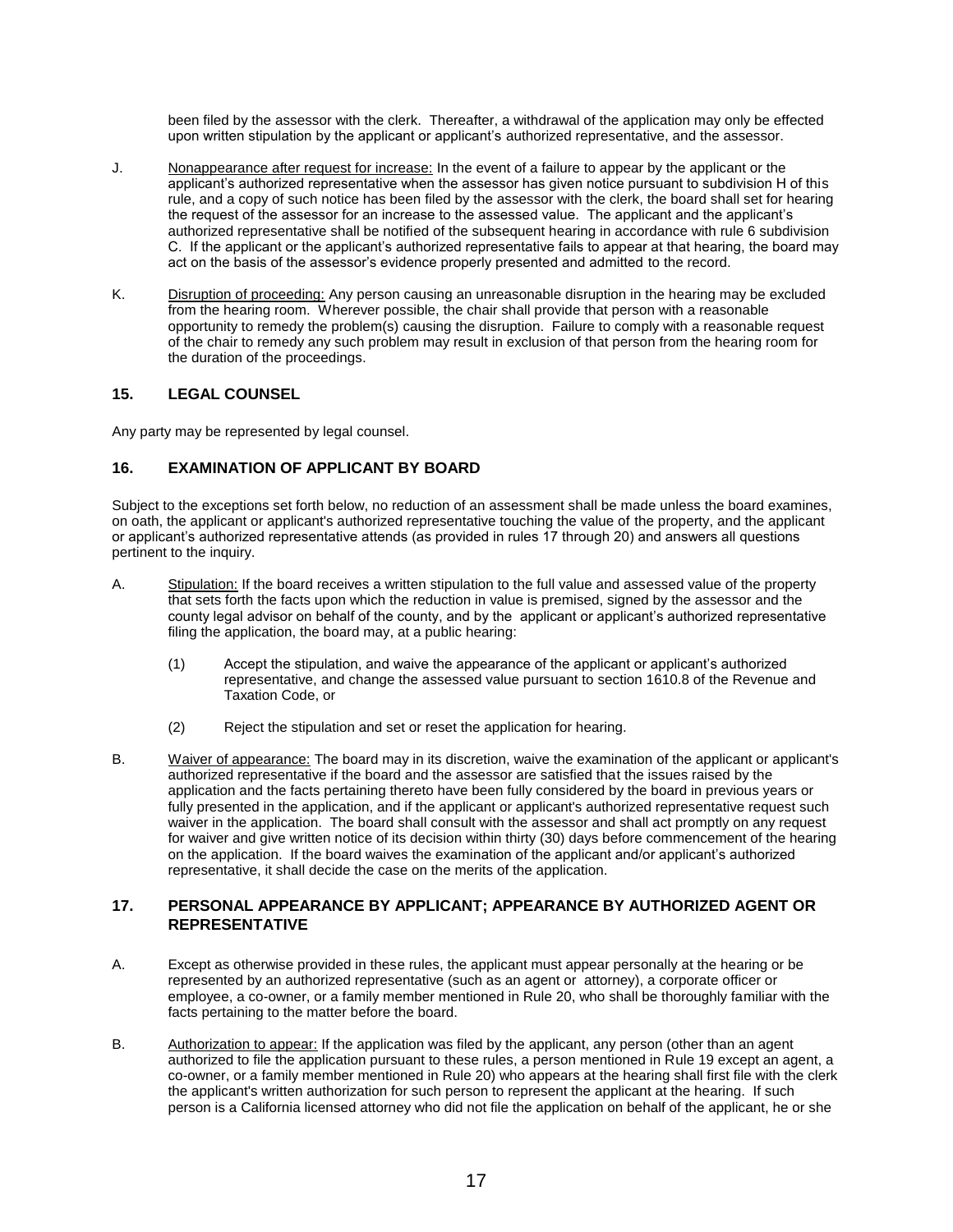been filed by the assessor with the clerk. Thereafter, a withdrawal of the application may only be effected upon written stipulation by the applicant or applicant's authorized representative, and the assessor.

- J. Nonappearance after request for increase: In the event of a failure to appear by the applicant or the applicant's authorized representative when the assessor has given notice pursuant to subdivision H of this rule, and a copy of such notice has been filed by the assessor with the clerk, the board shall set for hearing the request of the assessor for an increase to the assessed value. The applicant and the applicant's authorized representative shall be notified of the subsequent hearing in accordance with rule 6 subdivision C. If the applicant or the applicant's authorized representative fails to appear at that hearing, the board may act on the basis of the assessor's evidence properly presented and admitted to the record.
- K. Disruption of proceeding: Any person causing an unreasonable disruption in the hearing may be excluded from the hearing room. Wherever possible, the chair shall provide that person with a reasonable opportunity to remedy the problem(s) causing the disruption. Failure to comply with a reasonable request of the chair to remedy any such problem may result in exclusion of that person from the hearing room for the duration of the proceedings.

# <span id="page-16-0"></span>**15. LEGAL COUNSEL**

<span id="page-16-1"></span>Any party may be represented by legal counsel.

# **16. EXAMINATION OF APPLICANT BY BOARD**

Subject to the exceptions set forth below, no reduction of an assessment shall be made unless the board examines, on oath, the applicant or applicant's authorized representative touching the value of the property, and the applicant or applicant's authorized representative attends (as provided in rules 17 through 20) and answers all questions pertinent to the inquiry.

- A. Stipulation: If the board receives a written stipulation to the full value and assessed value of the property that sets forth the facts upon which the reduction in value is premised, signed by the assessor and the county legal advisor on behalf of the county, and by the applicant or applicant's authorized representative filing the application, the board may, at a public hearing:
	- (1) Accept the stipulation, and waive the appearance of the applicant or applicant's authorized representative, and change the assessed value pursuant to section 1610.8 of the Revenue and Taxation Code, or
	- (2) Reject the stipulation and set or reset the application for hearing.
- B. Waiver of appearance: The board may in its discretion, waive the examination of the applicant or applicant's authorized representative if the board and the assessor are satisfied that the issues raised by the application and the facts pertaining thereto have been fully considered by the board in previous years or fully presented in the application, and if the applicant or applicant's authorized representative request such waiver in the application. The board shall consult with the assessor and shall act promptly on any request for waiver and give written notice of its decision within thirty (30) days before commencement of the hearing on the application. If the board waives the examination of the applicant and/or applicant's authorized representative, it shall decide the case on the merits of the application.

## <span id="page-16-2"></span>**17. PERSONAL APPEARANCE BY APPLICANT; APPEARANCE BY AUTHORIZED AGENT OR REPRESENTATIVE**

- A. Except as otherwise provided in these rules, the applicant must appear personally at the hearing or be represented by an authorized representative (such as an agent or attorney), a corporate officer or employee, a co-owner, or a family member mentioned in Rule 20, who shall be thoroughly familiar with the facts pertaining to the matter before the board.
- B. Authorization to appear: If the application was filed by the applicant, any person (other than an agent authorized to file the application pursuant to these rules, a person mentioned in Rule 19 except an agent, a co-owner, or a family member mentioned in Rule 20) who appears at the hearing shall first file with the clerk the applicant's written authorization for such person to represent the applicant at the hearing. If such person is a California licensed attorney who did not file the application on behalf of the applicant, he or she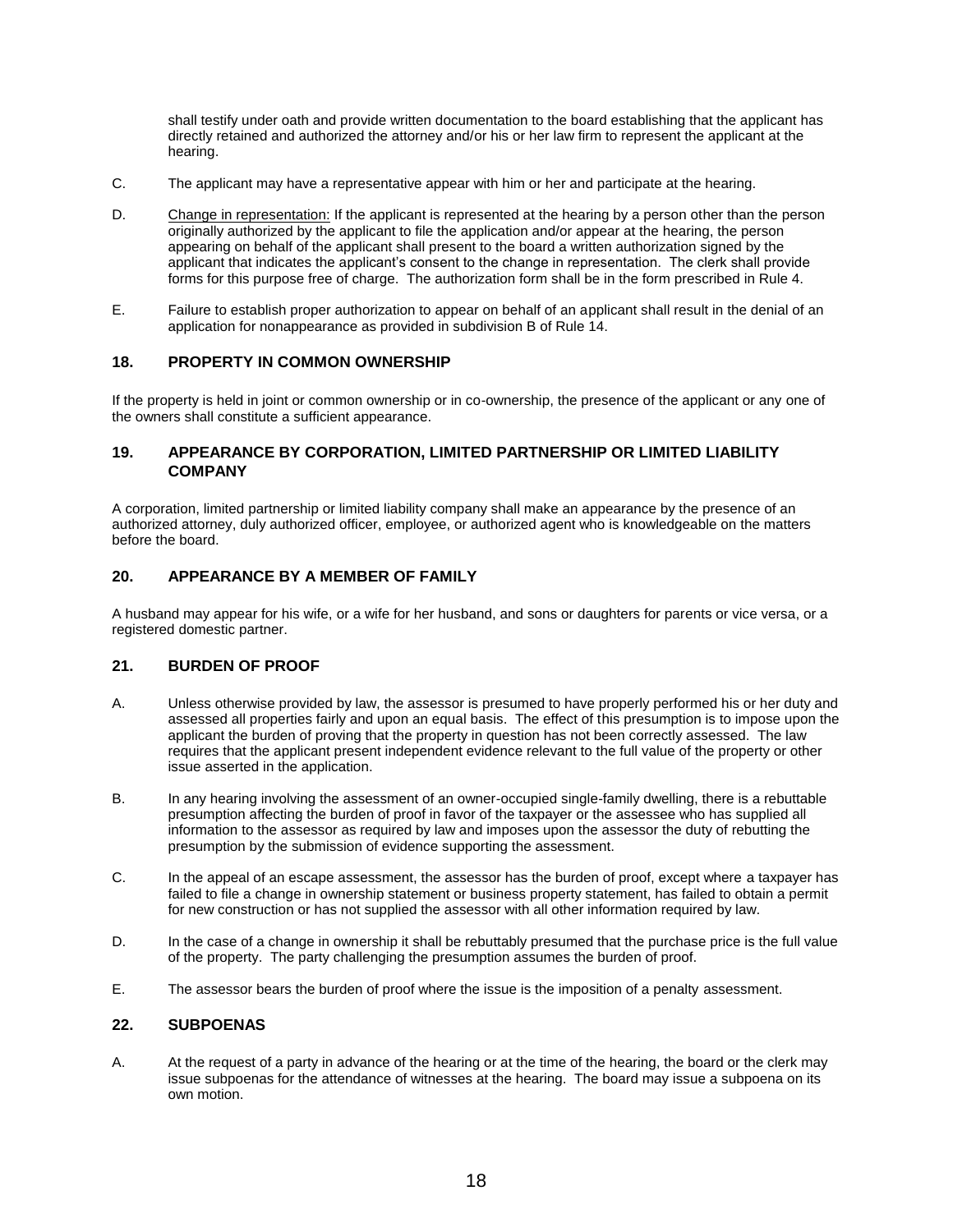shall testify under oath and provide written documentation to the board establishing that the applicant has directly retained and authorized the attorney and/or his or her law firm to represent the applicant at the hearing.

- C. The applicant may have a representative appear with him or her and participate at the hearing.
- D. Change in representation: If the applicant is represented at the hearing by a person other than the person originally authorized by the applicant to file the application and/or appear at the hearing, the person appearing on behalf of the applicant shall present to the board a written authorization signed by the applicant that indicates the applicant's consent to the change in representation. The clerk shall provide forms for this purpose free of charge. The authorization form shall be in the form prescribed in Rule 4.
- E. Failure to establish proper authorization to appear on behalf of an applicant shall result in the denial of an application for nonappearance as provided in subdivision B of Rule 14.

#### <span id="page-17-0"></span>**18. PROPERTY IN COMMON OWNERSHIP**

If the property is held in joint or common ownership or in co-ownership, the presence of the applicant or any one of the owners shall constitute a sufficient appearance.

## <span id="page-17-1"></span>**19. APPEARANCE BY CORPORATION, LIMITED PARTNERSHIP OR LIMITED LIABILITY COMPANY**

A corporation, limited partnership or limited liability company shall make an appearance by the presence of an authorized attorney, duly authorized officer, employee, or authorized agent who is knowledgeable on the matters before the board.

# <span id="page-17-2"></span>**20. APPEARANCE BY A MEMBER OF FAMILY**

A husband may appear for his wife, or a wife for her husband, and sons or daughters for parents or vice versa, or a registered domestic partner.

#### <span id="page-17-3"></span>**21. BURDEN OF PROOF**

- A. Unless otherwise provided by law, the assessor is presumed to have properly performed his or her duty and assessed all properties fairly and upon an equal basis. The effect of this presumption is to impose upon the applicant the burden of proving that the property in question has not been correctly assessed. The law requires that the applicant present independent evidence relevant to the full value of the property or other issue asserted in the application.
- B. In any hearing involving the assessment of an owner-occupied single-family dwelling, there is a rebuttable presumption affecting the burden of proof in favor of the taxpayer or the assessee who has supplied all information to the assessor as required by law and imposes upon the assessor the duty of rebutting the presumption by the submission of evidence supporting the assessment.
- C. In the appeal of an escape assessment, the assessor has the burden of proof, except where a taxpayer has failed to file a change in ownership statement or business property statement, has failed to obtain a permit for new construction or has not supplied the assessor with all other information required by law.
- D. In the case of a change in ownership it shall be rebuttably presumed that the purchase price is the full value of the property. The party challenging the presumption assumes the burden of proof.
- <span id="page-17-4"></span>E. The assessor bears the burden of proof where the issue is the imposition of a penalty assessment.

#### **22. SUBPOENAS**

A. At the request of a party in advance of the hearing or at the time of the hearing, the board or the clerk may issue subpoenas for the attendance of witnesses at the hearing. The board may issue a subpoena on its own motion.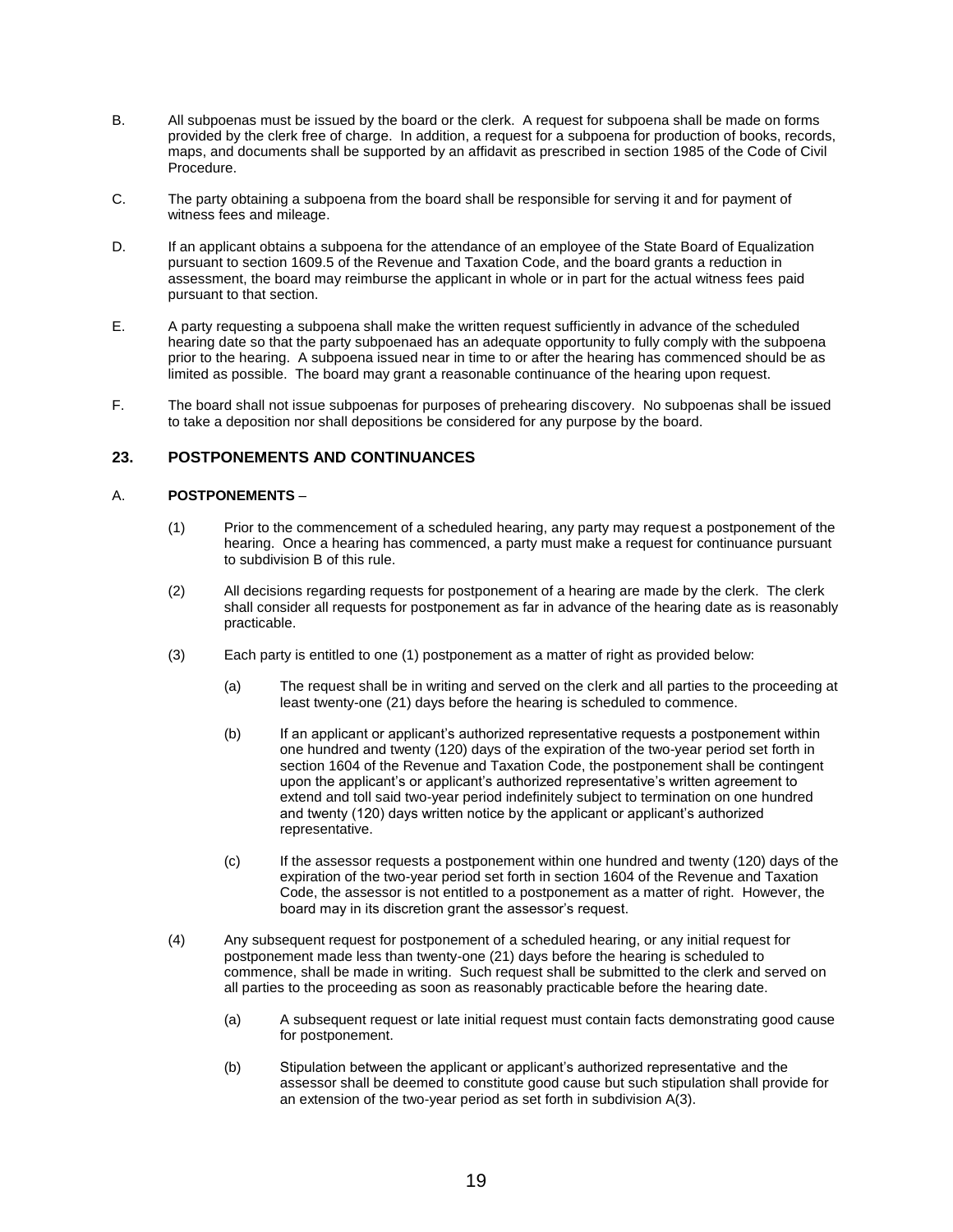- B. All subpoenas must be issued by the board or the clerk. A request for subpoena shall be made on forms provided by the clerk free of charge. In addition, a request for a subpoena for production of books, records, maps, and documents shall be supported by an affidavit as prescribed in section 1985 of the Code of Civil Procedure.
- C. The party obtaining a subpoena from the board shall be responsible for serving it and for payment of witness fees and mileage.
- D. If an applicant obtains a subpoena for the attendance of an employee of the State Board of Equalization pursuant to section 1609.5 of the Revenue and Taxation Code, and the board grants a reduction in assessment, the board may reimburse the applicant in whole or in part for the actual witness fees paid pursuant to that section.
- E. A party requesting a subpoena shall make the written request sufficiently in advance of the scheduled hearing date so that the party subpoenaed has an adequate opportunity to fully comply with the subpoena prior to the hearing. A subpoena issued near in time to or after the hearing has commenced should be as limited as possible. The board may grant a reasonable continuance of the hearing upon request.
- F. The board shall not issue subpoenas for purposes of prehearing discovery. No subpoenas shall be issued to take a deposition nor shall depositions be considered for any purpose by the board.

# <span id="page-18-0"></span>**23. POSTPONEMENTS AND CONTINUANCES**

#### A. **POSTPONEMENTS** –

- (1) Prior to the commencement of a scheduled hearing, any party may request a postponement of the hearing. Once a hearing has commenced, a party must make a request for continuance pursuant to subdivision B of this rule.
- (2) All decisions regarding requests for postponement of a hearing are made by the clerk. The clerk shall consider all requests for postponement as far in advance of the hearing date as is reasonably practicable.
- (3) Each party is entitled to one (1) postponement as a matter of right as provided below:
	- (a) The request shall be in writing and served on the clerk and all parties to the proceeding at least twenty-one (21) days before the hearing is scheduled to commence.
	- (b) If an applicant or applicant's authorized representative requests a postponement within one hundred and twenty (120) days of the expiration of the two-year period set forth in section 1604 of the Revenue and Taxation Code, the postponement shall be contingent upon the applicant's or applicant's authorized representative's written agreement to extend and toll said two-year period indefinitely subject to termination on one hundred and twenty (120) days written notice by the applicant or applicant's authorized representative.
	- (c) If the assessor requests a postponement within one hundred and twenty (120) days of the expiration of the two-year period set forth in section 1604 of the Revenue and Taxation Code, the assessor is not entitled to a postponement as a matter of right. However, the board may in its discretion grant the assessor's request.
- (4) Any subsequent request for postponement of a scheduled hearing, or any initial request for postponement made less than twenty-one (21) days before the hearing is scheduled to commence, shall be made in writing. Such request shall be submitted to the clerk and served on all parties to the proceeding as soon as reasonably practicable before the hearing date.
	- (a) A subsequent request or late initial request must contain facts demonstrating good cause for postponement.
	- (b) Stipulation between the applicant or applicant's authorized representative and the assessor shall be deemed to constitute good cause but such stipulation shall provide for an extension of the two-year period as set forth in subdivision A(3).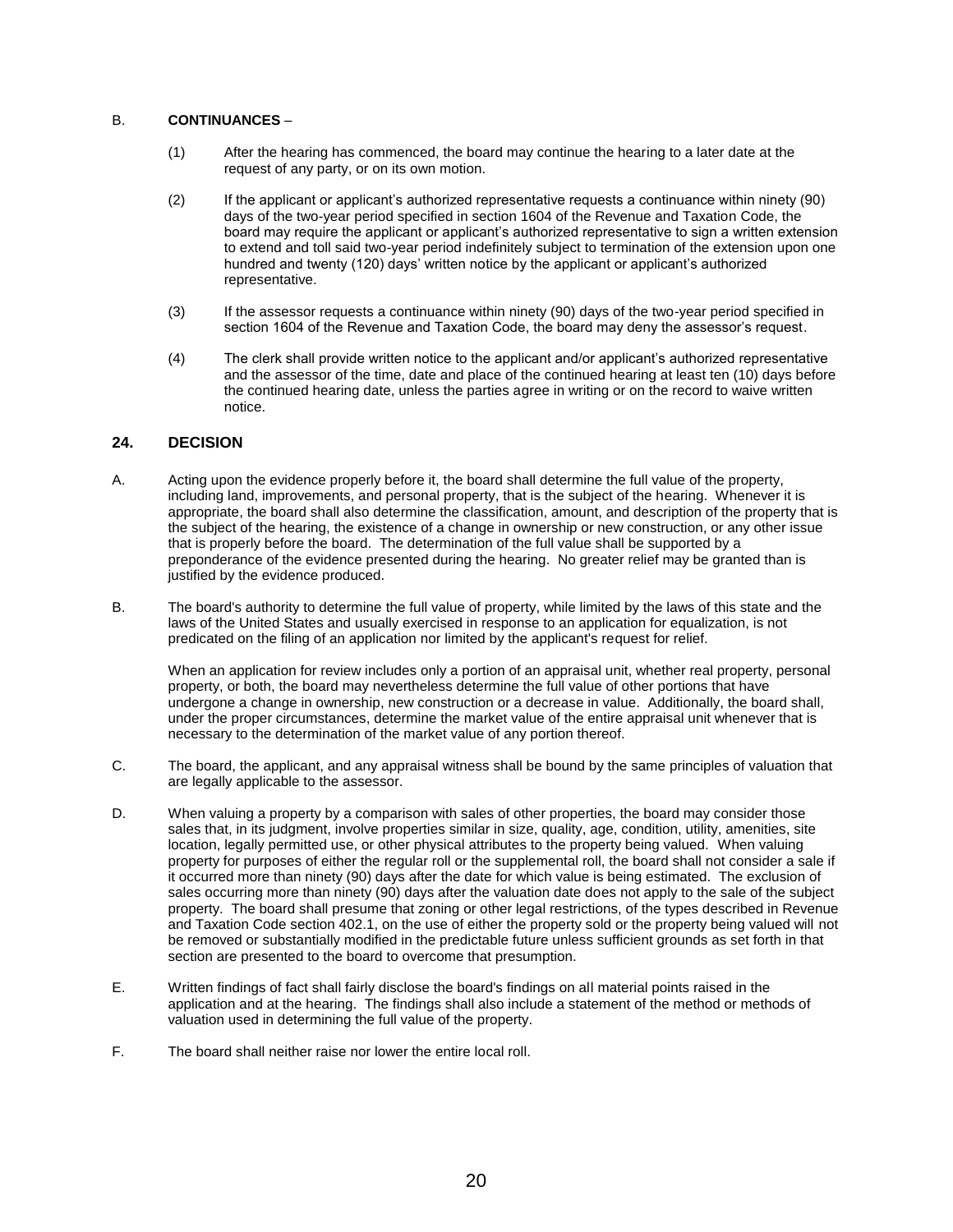#### B. **CONTINUANCES** –

- (1) After the hearing has commenced, the board may continue the hearing to a later date at the request of any party, or on its own motion.
- (2) If the applicant or applicant's authorized representative requests a continuance within ninety (90) days of the two-year period specified in section 1604 of the Revenue and Taxation Code, the board may require the applicant or applicant's authorized representative to sign a written extension to extend and toll said two-year period indefinitely subject to termination of the extension upon one hundred and twenty (120) days' written notice by the applicant or applicant's authorized representative.
- (3) If the assessor requests a continuance within ninety (90) days of the two-year period specified in section 1604 of the Revenue and Taxation Code, the board may deny the assessor's request.
- (4) The clerk shall provide written notice to the applicant and/or applicant's authorized representative and the assessor of the time, date and place of the continued hearing at least ten (10) days before the continued hearing date, unless the parties agree in writing or on the record to waive written notice.

#### <span id="page-19-0"></span>**24. DECISION**

- A. Acting upon the evidence properly before it, the board shall determine the full value of the property, including land, improvements, and personal property, that is the subject of the hearing. Whenever it is appropriate, the board shall also determine the classification, amount, and description of the property that is the subject of the hearing, the existence of a change in ownership or new construction, or any other issue that is properly before the board. The determination of the full value shall be supported by a preponderance of the evidence presented during the hearing. No greater relief may be granted than is justified by the evidence produced.
- B. The board's authority to determine the full value of property, while limited by the laws of this state and the laws of the United States and usually exercised in response to an application for equalization, is not predicated on the filing of an application nor limited by the applicant's request for relief.

When an application for review includes only a portion of an appraisal unit, whether real property, personal property, or both, the board may nevertheless determine the full value of other portions that have undergone a change in ownership, new construction or a decrease in value. Additionally, the board shall, under the proper circumstances, determine the market value of the entire appraisal unit whenever that is necessary to the determination of the market value of any portion thereof.

- C. The board, the applicant, and any appraisal witness shall be bound by the same principles of valuation that are legally applicable to the assessor.
- D. When valuing a property by a comparison with sales of other properties, the board may consider those sales that, in its judgment, involve properties similar in size, quality, age, condition, utility, amenities, site location, legally permitted use, or other physical attributes to the property being valued. When valuing property for purposes of either the regular roll or the supplemental roll, the board shall not consider a sale if it occurred more than ninety (90) days after the date for which value is being estimated. The exclusion of sales occurring more than ninety (90) days after the valuation date does not apply to the sale of the subject property. The board shall presume that zoning or other legal restrictions, of the types described in Revenue and Taxation Code section 402.1, on the use of either the property sold or the property being valued will not be removed or substantially modified in the predictable future unless sufficient grounds as set forth in that section are presented to the board to overcome that presumption.
- E. Written findings of fact shall fairly disclose the board's findings on all material points raised in the application and at the hearing. The findings shall also include a statement of the method or methods of valuation used in determining the full value of the property.
- F. The board shall neither raise nor lower the entire local roll.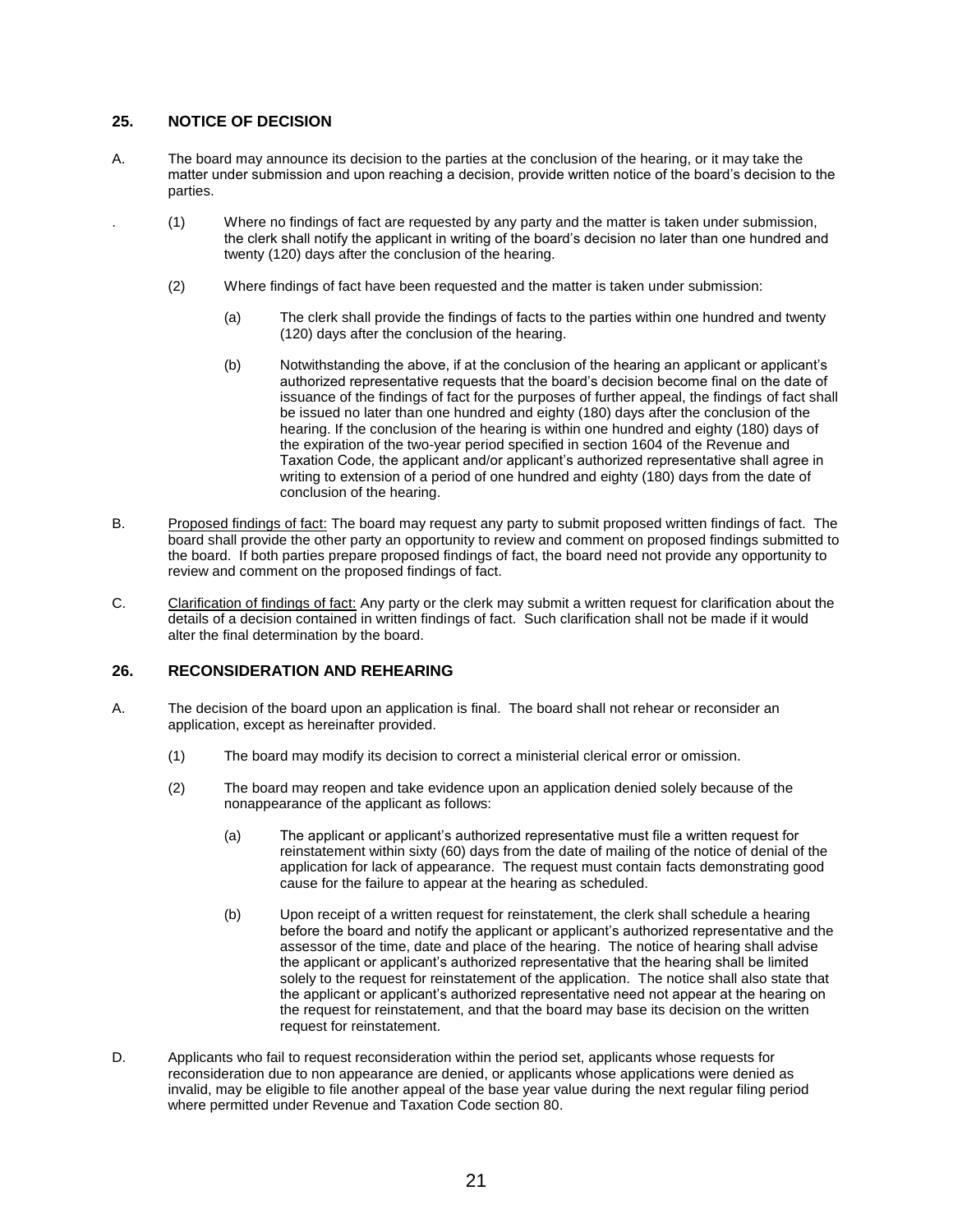## <span id="page-20-0"></span>**25. NOTICE OF DECISION**

- A. The board may announce its decision to the parties at the conclusion of the hearing, or it may take the matter under submission and upon reaching a decision, provide written notice of the board's decision to the parties.
	- . (1) Where no findings of fact are requested by any party and the matter is taken under submission, the clerk shall notify the applicant in writing of the board's decision no later than one hundred and twenty (120) days after the conclusion of the hearing.
		- (2) Where findings of fact have been requested and the matter is taken under submission:
			- (a) The clerk shall provide the findings of facts to the parties within one hundred and twenty (120) days after the conclusion of the hearing.
			- (b) Notwithstanding the above, if at the conclusion of the hearing an applicant or applicant's authorized representative requests that the board's decision become final on the date of issuance of the findings of fact for the purposes of further appeal, the findings of fact shall be issued no later than one hundred and eighty (180) days after the conclusion of the hearing. If the conclusion of the hearing is within one hundred and eighty (180) days of the expiration of the two-year period specified in section 1604 of the Revenue and Taxation Code, the applicant and/or applicant's authorized representative shall agree in writing to extension of a period of one hundred and eighty (180) days from the date of conclusion of the hearing.
- B. Proposed findings of fact: The board may request any party to submit proposed written findings of fact. The board shall provide the other party an opportunity to review and comment on proposed findings submitted to the board. If both parties prepare proposed findings of fact, the board need not provide any opportunity to review and comment on the proposed findings of fact.
- C. Clarification of findings of fact: Any party or the clerk may submit a written request for clarification about the details of a decision contained in written findings of fact. Such clarification shall not be made if it would alter the final determination by the board.

## <span id="page-20-1"></span>**26. RECONSIDERATION AND REHEARING**

- A. The decision of the board upon an application is final. The board shall not rehear or reconsider an application, except as hereinafter provided.
	- (1) The board may modify its decision to correct a ministerial clerical error or omission.
	- (2) The board may reopen and take evidence upon an application denied solely because of the nonappearance of the applicant as follows:
		- (a) The applicant or applicant's authorized representative must file a written request for reinstatement within sixty (60) days from the date of mailing of the notice of denial of the application for lack of appearance. The request must contain facts demonstrating good cause for the failure to appear at the hearing as scheduled.
		- (b) Upon receipt of a written request for reinstatement, the clerk shall schedule a hearing before the board and notify the applicant or applicant's authorized representative and the assessor of the time, date and place of the hearing. The notice of hearing shall advise the applicant or applicant's authorized representative that the hearing shall be limited solely to the request for reinstatement of the application. The notice shall also state that the applicant or applicant's authorized representative need not appear at the hearing on the request for reinstatement, and that the board may base its decision on the written request for reinstatement.
- D. Applicants who fail to request reconsideration within the period set, applicants whose requests for reconsideration due to non appearance are denied, or applicants whose applications were denied as invalid, may be eligible to file another appeal of the base year value during the next regular filing period where permitted under Revenue and Taxation Code section 80.